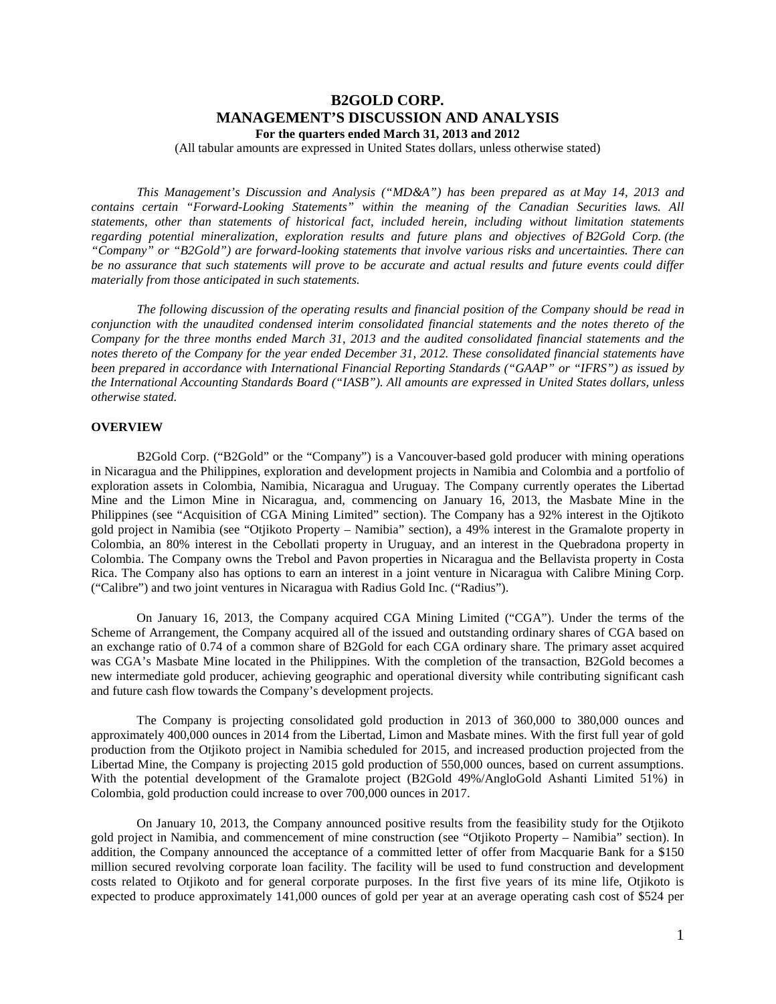# **B2GOLD CORP. MANAGEMENT'S DISCUSSION AND ANALYSIS For the quarters ended March 31, 2013 and 2012**

(All tabular amounts are expressed in United States dollars, unless otherwise stated)

*This Management's Discussion and Analysis ("MD&A") has been prepared as at May 14, 2013 and contains certain "Forward-Looking Statements" within the meaning of the Canadian Securities laws. All statements, other than statements of historical fact, included herein, including without limitation statements regarding potential mineralization, exploration results and future plans and objectives of B2Gold Corp. (the "Company" or "B2Gold") are forward-looking statements that involve various risks and uncertainties. There can be no assurance that such statements will prove to be accurate and actual results and future events could differ materially from those anticipated in such statements.*

*The following discussion of the operating results and financial position of the Company should be read in conjunction with the unaudited condensed interim consolidated financial statements and the notes thereto of the Company for the three months ended March 31, 2013 and the audited consolidated financial statements and the notes thereto of the Company for the year ended December 31, 2012. These consolidated financial statements have been prepared in accordance with International Financial Reporting Standards ("GAAP" or "IFRS") as issued by the International Accounting Standards Board ("IASB"). All amounts are expressed in United States dollars, unless otherwise stated.*

## **OVERVIEW**

B2Gold Corp. ("B2Gold" or the "Company") is a Vancouver-based gold producer with mining operations in Nicaragua and the Philippines, exploration and development projects in Namibia and Colombia and a portfolio of exploration assets in Colombia, Namibia, Nicaragua and Uruguay. The Company currently operates the Libertad Mine and the Limon Mine in Nicaragua, and, commencing on January 16, 2013, the Masbate Mine in the Philippines (see "Acquisition of CGA Mining Limited" section). The Company has a 92% interest in the Ojtikoto gold project in Namibia (see "Otjikoto Property – Namibia" section), a 49% interest in the Gramalote property in Colombia, an 80% interest in the Cebollati property in Uruguay, and an interest in the Quebradona property in Colombia. The Company owns the Trebol and Pavon properties in Nicaragua and the Bellavista property in Costa Rica. The Company also has options to earn an interest in a joint venture in Nicaragua with Calibre Mining Corp. ("Calibre") and two joint ventures in Nicaragua with Radius Gold Inc. ("Radius").

On January 16, 2013, the Company acquired CGA Mining Limited ("CGA"). Under the terms of the Scheme of Arrangement, the Company acquired all of the issued and outstanding ordinary shares of CGA based on an exchange ratio of 0.74 of a common share of B2Gold for each CGA ordinary share. The primary asset acquired was CGA's Masbate Mine located in the Philippines. With the completion of the transaction, B2Gold becomes a new intermediate gold producer, achieving geographic and operational diversity while contributing significant cash and future cash flow towards the Company's development projects.

The Company is projecting consolidated gold production in 2013 of 360,000 to 380,000 ounces and approximately 400,000 ounces in 2014 from the Libertad, Limon and Masbate mines. With the first full year of gold production from the Otjikoto project in Namibia scheduled for 2015, and increased production projected from the Libertad Mine, the Company is projecting 2015 gold production of 550,000 ounces, based on current assumptions. With the potential development of the Gramalote project (B2Gold 49%/AngloGold Ashanti Limited 51%) in Colombia, gold production could increase to over 700,000 ounces in 2017.

On January 10, 2013, the Company announced positive results from the feasibility study for the Otjikoto gold project in Namibia, and commencement of mine construction (see "Otjikoto Property – Namibia" section). In addition, the Company announced the acceptance of a committed letter of offer from Macquarie Bank for a \$150 million secured revolving corporate loan facility. The facility will be used to fund construction and development costs related to Otjikoto and for general corporate purposes. In the first five years of its mine life, Otjikoto is expected to produce approximately 141,000 ounces of gold per year at an average operating cash cost of \$524 per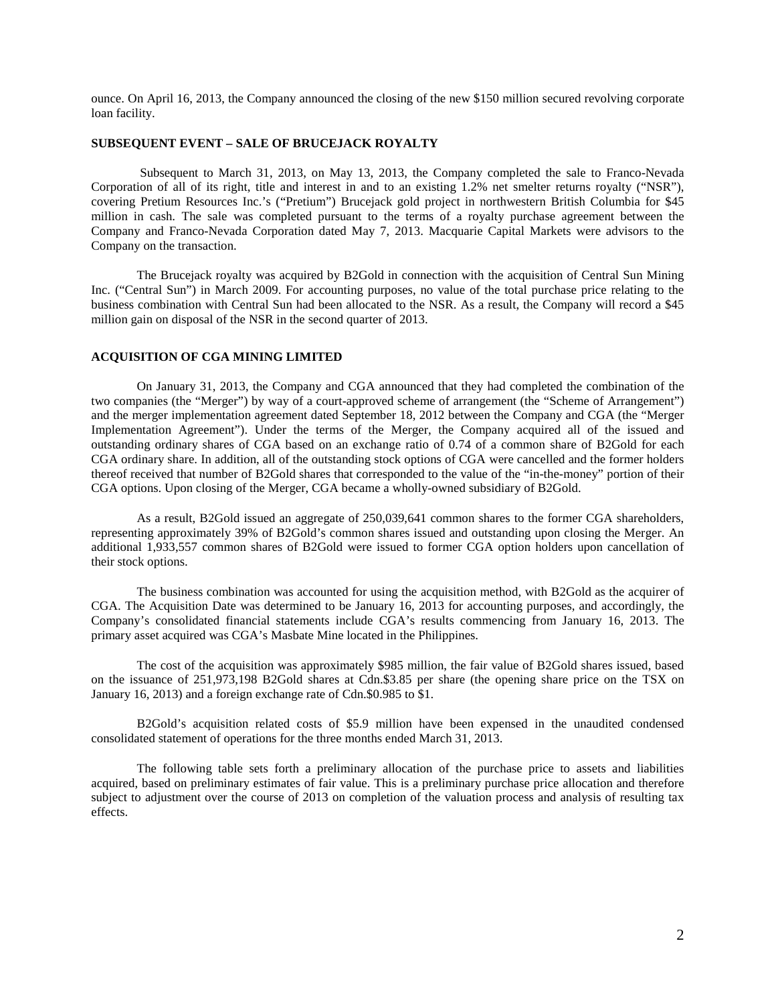ounce. On April 16, 2013, the Company announced the closing of the new \$150 million secured revolving corporate loan facility.

# **SUBSEQUENT EVENT – SALE OF BRUCEJACK ROYALTY**

Subsequent to March 31, 2013, on May 13, 2013, the Company completed the sale to Franco-Nevada Corporation of all of its right, title and interest in and to an existing 1.2% net smelter returns royalty ("NSR"), covering Pretium Resources Inc.'s ("Pretium") Brucejack gold project in northwestern British Columbia for \$45 million in cash. The sale was completed pursuant to the terms of a royalty purchase agreement between the Company and Franco-Nevada Corporation dated May 7, 2013. Macquarie Capital Markets were advisors to the Company on the transaction.

The Brucejack royalty was acquired by B2Gold in connection with the acquisition of Central Sun Mining Inc. ("Central Sun") in March 2009. For accounting purposes, no value of the total purchase price relating to the business combination with Central Sun had been allocated to the NSR. As a result, the Company will record a \$45 million gain on disposal of the NSR in the second quarter of 2013.

## **ACQUISITION OF CGA MINING LIMITED**

On January 31, 2013, the Company and CGA announced that they had completed the combination of the two companies (the "Merger") by way of a court-approved scheme of arrangement (the "Scheme of Arrangement") and the merger implementation agreement dated September 18, 2012 between the Company and CGA (the "Merger Implementation Agreement"). Under the terms of the Merger, the Company acquired all of the issued and outstanding ordinary shares of CGA based on an exchange ratio of 0.74 of a common share of B2Gold for each CGA ordinary share. In addition, all of the outstanding stock options of CGA were cancelled and the former holders thereof received that number of B2Gold shares that corresponded to the value of the "in-the-money" portion of their CGA options. Upon closing of the Merger, CGA became a wholly-owned subsidiary of B2Gold.

As a result, B2Gold issued an aggregate of 250,039,641 common shares to the former CGA shareholders, representing approximately 39% of B2Gold's common shares issued and outstanding upon closing the Merger. An additional 1,933,557 common shares of B2Gold were issued to former CGA option holders upon cancellation of their stock options.

The business combination was accounted for using the acquisition method, with B2Gold as the acquirer of CGA. The Acquisition Date was determined to be January 16, 2013 for accounting purposes, and accordingly, the Company's consolidated financial statements include CGA's results commencing from January 16, 2013. The primary asset acquired was CGA's Masbate Mine located in the Philippines.

The cost of the acquisition was approximately \$985 million, the fair value of B2Gold shares issued, based on the issuance of 251,973,198 B2Gold shares at Cdn.\$3.85 per share (the opening share price on the TSX on January 16, 2013) and a foreign exchange rate of Cdn.\$0.985 to \$1.

B2Gold's acquisition related costs of \$5.9 million have been expensed in the unaudited condensed consolidated statement of operations for the three months ended March 31, 2013.

The following table sets forth a preliminary allocation of the purchase price to assets and liabilities acquired, based on preliminary estimates of fair value. This is a preliminary purchase price allocation and therefore subject to adjustment over the course of 2013 on completion of the valuation process and analysis of resulting tax effects.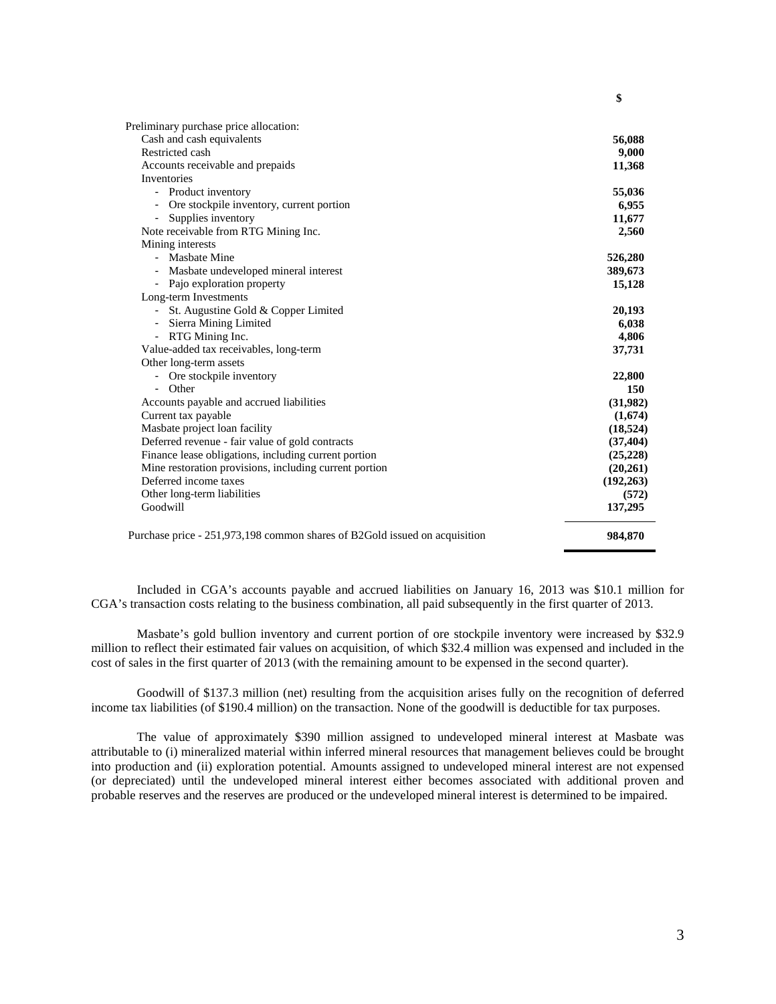| Preliminary purchase price allocation:                                     |            |
|----------------------------------------------------------------------------|------------|
| Cash and cash equivalents                                                  | 56,088     |
| Restricted cash                                                            | 9,000      |
| Accounts receivable and prepaids                                           | 11,368     |
| Inventories                                                                |            |
| - Product inventory                                                        | 55,036     |
| Ore stockpile inventory, current portion                                   | 6,955      |
| Supplies inventory                                                         | 11,677     |
| Note receivable from RTG Mining Inc.                                       | 2,560      |
| Mining interests                                                           |            |
| - Masbate Mine                                                             | 526,280    |
| Masbate undeveloped mineral interest                                       | 389,673    |
| - Pajo exploration property                                                | 15,128     |
| Long-term Investments                                                      |            |
| - St. Augustine Gold & Copper Limited                                      | 20,193     |
| Sierra Mining Limited<br>٠                                                 | 6,038      |
| - RTG Mining Inc.                                                          | 4,806      |
| Value-added tax receivables, long-term                                     | 37,731     |
| Other long-term assets                                                     |            |
| - Ore stockpile inventory                                                  | 22,800     |
| - Other                                                                    | 150        |
| Accounts payable and accrued liabilities                                   | (31,982)   |
| Current tax payable                                                        | (1,674)    |
| Masbate project loan facility                                              | (18, 524)  |
| Deferred revenue - fair value of gold contracts                            | (37, 404)  |
| Finance lease obligations, including current portion                       | (25, 228)  |
| Mine restoration provisions, including current portion                     | (20, 261)  |
| Deferred income taxes                                                      | (192, 263) |
| Other long-term liabilities                                                | (572)      |
| Goodwill                                                                   | 137,295    |
| Purchase price - 251,973,198 common shares of B2Gold issued on acquisition | 984,870    |

Included in CGA's accounts payable and accrued liabilities on January 16, 2013 was \$10.1 million for CGA's transaction costs relating to the business combination, all paid subsequently in the first quarter of 2013.

Masbate's gold bullion inventory and current portion of ore stockpile inventory were increased by \$32.9 million to reflect their estimated fair values on acquisition, of which \$32.4 million was expensed and included in the cost of sales in the first quarter of 2013 (with the remaining amount to be expensed in the second quarter).

Goodwill of \$137.3 million (net) resulting from the acquisition arises fully on the recognition of deferred income tax liabilities (of \$190.4 million) on the transaction. None of the goodwill is deductible for tax purposes.

The value of approximately \$390 million assigned to undeveloped mineral interest at Masbate was attributable to (i) mineralized material within inferred mineral resources that management believes could be brought into production and (ii) exploration potential. Amounts assigned to undeveloped mineral interest are not expensed (or depreciated) until the undeveloped mineral interest either becomes associated with additional proven and probable reserves and the reserves are produced or the undeveloped mineral interest is determined to be impaired.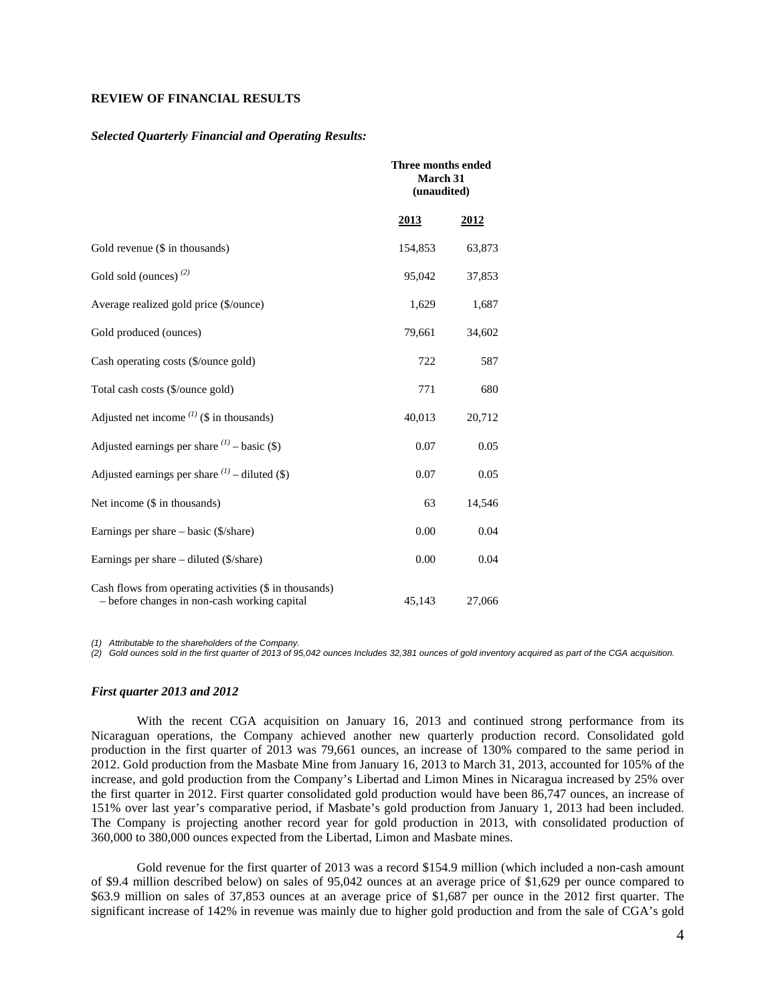## **REVIEW OF FINANCIAL RESULTS**

#### *Selected Quarterly Financial and Operating Results:*

|                                                                                                        | Three months ended<br>March 31<br>(unaudited) |             |
|--------------------------------------------------------------------------------------------------------|-----------------------------------------------|-------------|
|                                                                                                        | <u>2013</u>                                   | <u>2012</u> |
| Gold revenue (\$ in thousands)                                                                         | 154,853                                       | 63,873      |
| Gold sold (ounces) $(2)$                                                                               | 95,042                                        | 37,853      |
| Average realized gold price (\$/ounce)                                                                 | 1,629                                         | 1,687       |
| Gold produced (ounces)                                                                                 | 79,661                                        | 34,602      |
| Cash operating costs (\$/ounce gold)                                                                   | 722                                           | 587         |
| Total cash costs (\$/ounce gold)                                                                       | 771                                           | 680         |
| Adjusted net income $^{(1)}$ (\$ in thousands)                                                         | 40,013                                        | 20,712      |
| Adjusted earnings per share $(1)$ – basic (\$)                                                         | 0.07                                          | 0.05        |
| Adjusted earnings per share $(1)$ – diluted (\$)                                                       | 0.07                                          | 0.05        |
| Net income (\$ in thousands)                                                                           | 63                                            | 14,546      |
| Earnings per share $-$ basic (\$/share)                                                                | 0.00                                          | 0.04        |
| Earnings per share $-$ diluted ( $\frac{\sqrt{3}}{\sqrt{3}}$ )                                         | 0.00                                          | 0.04        |
| Cash flows from operating activities (\$ in thousands)<br>- before changes in non-cash working capital | 45,143                                        | 27,066      |

*(1) Attributable to the shareholders of the Company.* 

*(2) Gold ounces sold in the first quarter of 2013 of 95,042 ounces Includes 32,381 ounces of gold inventory acquired as part of the CGA acquisition.* 

## *First quarter 2013 and 2012*

With the recent CGA acquisition on January 16, 2013 and continued strong performance from its Nicaraguan operations, the Company achieved another new quarterly production record. Consolidated gold production in the first quarter of 2013 was 79,661 ounces, an increase of 130% compared to the same period in 2012. Gold production from the Masbate Mine from January 16, 2013 to March 31, 2013, accounted for 105% of the increase, and gold production from the Company's Libertad and Limon Mines in Nicaragua increased by 25% over the first quarter in 2012. First quarter consolidated gold production would have been 86,747 ounces, an increase of 151% over last year's comparative period, if Masbate's gold production from January 1, 2013 had been included. The Company is projecting another record year for gold production in 2013, with consolidated production of 360,000 to 380,000 ounces expected from the Libertad, Limon and Masbate mines.

Gold revenue for the first quarter of 2013 was a record \$154.9 million (which included a non-cash amount of \$9.4 million described below) on sales of 95,042 ounces at an average price of \$1,629 per ounce compared to \$63.9 million on sales of 37,853 ounces at an average price of \$1,687 per ounce in the 2012 first quarter. The significant increase of 142% in revenue was mainly due to higher gold production and from the sale of CGA's gold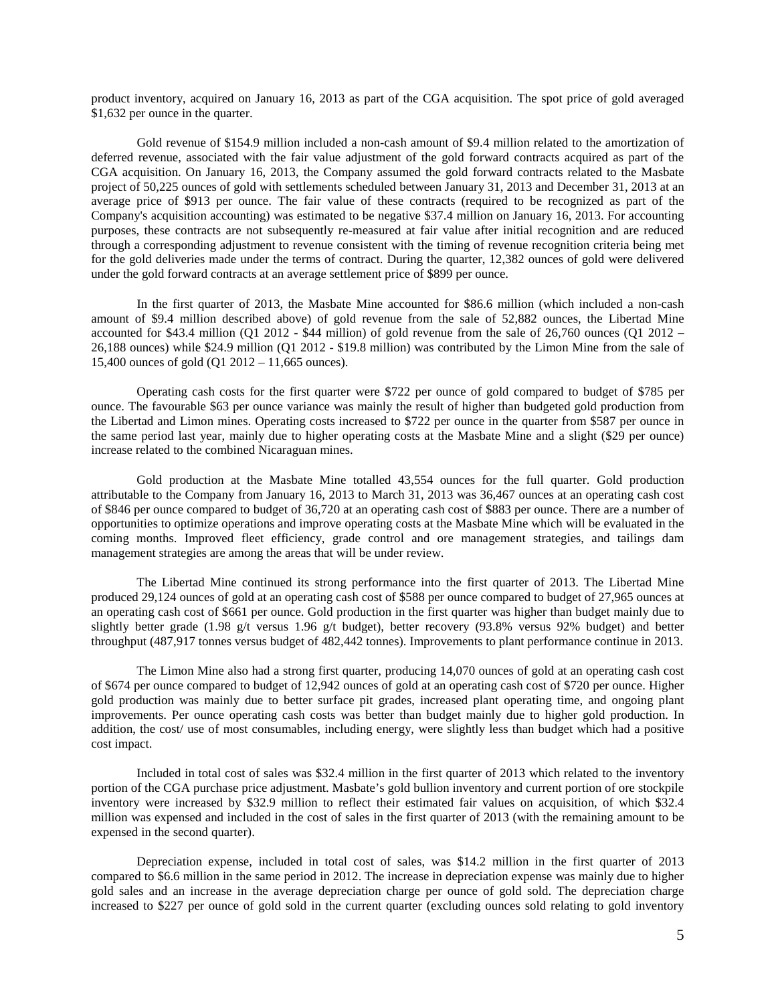product inventory, acquired on January 16, 2013 as part of the CGA acquisition. The spot price of gold averaged \$1,632 per ounce in the quarter.

Gold revenue of \$154.9 million included a non-cash amount of \$9.4 million related to the amortization of deferred revenue, associated with the fair value adjustment of the gold forward contracts acquired as part of the CGA acquisition. On January 16, 2013, the Company assumed the gold forward contracts related to the Masbate project of 50,225 ounces of gold with settlements scheduled between January 31, 2013 and December 31, 2013 at an average price of \$913 per ounce. The fair value of these contracts (required to be recognized as part of the Company's acquisition accounting) was estimated to be negative \$37.4 million on January 16, 2013. For accounting purposes, these contracts are not subsequently re-measured at fair value after initial recognition and are reduced through a corresponding adjustment to revenue consistent with the timing of revenue recognition criteria being met for the gold deliveries made under the terms of contract. During the quarter, 12,382 ounces of gold were delivered under the gold forward contracts at an average settlement price of \$899 per ounce.

In the first quarter of 2013, the Masbate Mine accounted for \$86.6 million (which included a non-cash amount of \$9.4 million described above) of gold revenue from the sale of 52,882 ounces, the Libertad Mine accounted for \$43.4 million (Q1 2012 - \$44 million) of gold revenue from the sale of  $26,760$  ounces (Q1 2012 – 26,188 ounces) while \$24.9 million (Q1 2012 - \$19.8 million) was contributed by the Limon Mine from the sale of 15,400 ounces of gold (Q1 2012 – 11,665 ounces).

Operating cash costs for the first quarter were \$722 per ounce of gold compared to budget of \$785 per ounce. The favourable \$63 per ounce variance was mainly the result of higher than budgeted gold production from the Libertad and Limon mines. Operating costs increased to \$722 per ounce in the quarter from \$587 per ounce in the same period last year, mainly due to higher operating costs at the Masbate Mine and a slight (\$29 per ounce) increase related to the combined Nicaraguan mines.

Gold production at the Masbate Mine totalled 43,554 ounces for the full quarter. Gold production attributable to the Company from January 16, 2013 to March 31, 2013 was 36,467 ounces at an operating cash cost of \$846 per ounce compared to budget of 36,720 at an operating cash cost of \$883 per ounce. There are a number of opportunities to optimize operations and improve operating costs at the Masbate Mine which will be evaluated in the coming months. Improved fleet efficiency, grade control and ore management strategies, and tailings dam management strategies are among the areas that will be under review.

The Libertad Mine continued its strong performance into the first quarter of 2013. The Libertad Mine produced 29,124 ounces of gold at an operating cash cost of \$588 per ounce compared to budget of 27,965 ounces at an operating cash cost of \$661 per ounce. Gold production in the first quarter was higher than budget mainly due to slightly better grade (1.98 g/t versus 1.96 g/t budget), better recovery (93.8% versus 92% budget) and better throughput (487,917 tonnes versus budget of 482,442 tonnes). Improvements to plant performance continue in 2013.

The Limon Mine also had a strong first quarter, producing 14,070 ounces of gold at an operating cash cost of \$674 per ounce compared to budget of 12,942 ounces of gold at an operating cash cost of \$720 per ounce. Higher gold production was mainly due to better surface pit grades, increased plant operating time, and ongoing plant improvements. Per ounce operating cash costs was better than budget mainly due to higher gold production. In addition, the cost/ use of most consumables, including energy, were slightly less than budget which had a positive cost impact.

Included in total cost of sales was \$32.4 million in the first quarter of 2013 which related to the inventory portion of the CGA purchase price adjustment. Masbate's gold bullion inventory and current portion of ore stockpile inventory were increased by \$32.9 million to reflect their estimated fair values on acquisition, of which \$32.4 million was expensed and included in the cost of sales in the first quarter of 2013 (with the remaining amount to be expensed in the second quarter).

Depreciation expense, included in total cost of sales, was \$14.2 million in the first quarter of 2013 compared to \$6.6 million in the same period in 2012. The increase in depreciation expense was mainly due to higher gold sales and an increase in the average depreciation charge per ounce of gold sold. The depreciation charge increased to \$227 per ounce of gold sold in the current quarter (excluding ounces sold relating to gold inventory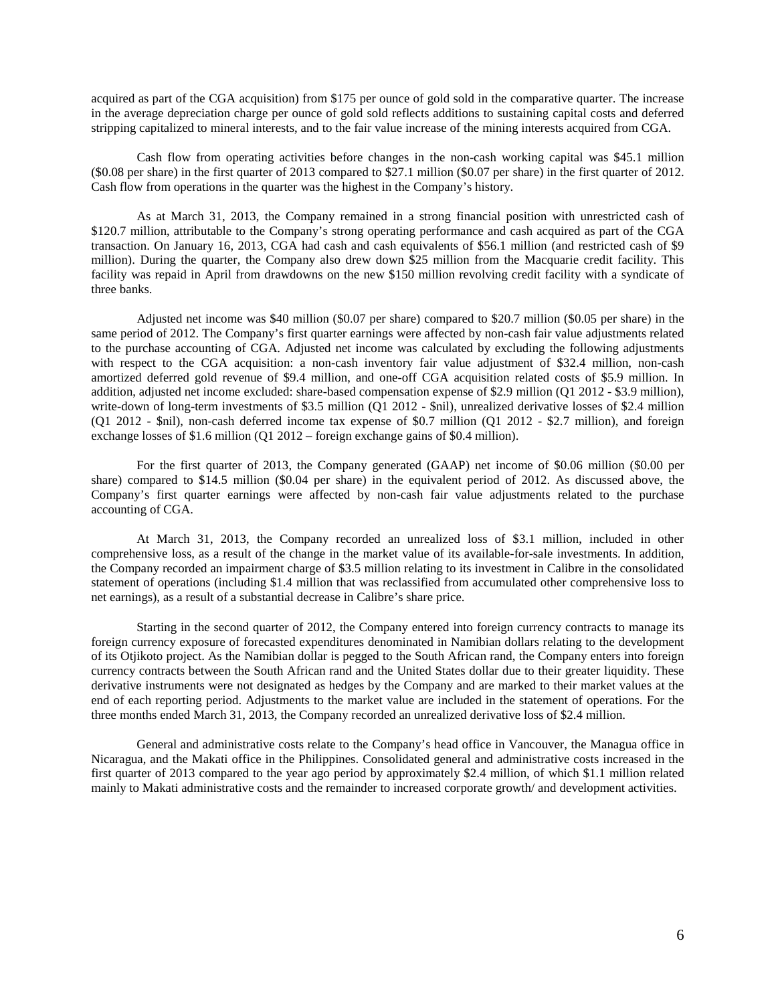acquired as part of the CGA acquisition) from \$175 per ounce of gold sold in the comparative quarter. The increase in the average depreciation charge per ounce of gold sold reflects additions to sustaining capital costs and deferred stripping capitalized to mineral interests, and to the fair value increase of the mining interests acquired from CGA.

Cash flow from operating activities before changes in the non-cash working capital was \$45.1 million (\$0.08 per share) in the first quarter of 2013 compared to \$27.1 million (\$0.07 per share) in the first quarter of 2012. Cash flow from operations in the quarter was the highest in the Company's history.

As at March 31, 2013, the Company remained in a strong financial position with unrestricted cash of \$120.7 million, attributable to the Company's strong operating performance and cash acquired as part of the CGA transaction. On January 16, 2013, CGA had cash and cash equivalents of \$56.1 million (and restricted cash of \$9 million). During the quarter, the Company also drew down \$25 million from the Macquarie credit facility. This facility was repaid in April from drawdowns on the new \$150 million revolving credit facility with a syndicate of three banks.

Adjusted net income was \$40 million (\$0.07 per share) compared to \$20.7 million (\$0.05 per share) in the same period of 2012. The Company's first quarter earnings were affected by non-cash fair value adjustments related to the purchase accounting of CGA. Adjusted net income was calculated by excluding the following adjustments with respect to the CGA acquisition: a non-cash inventory fair value adjustment of \$32.4 million, non-cash amortized deferred gold revenue of \$9.4 million, and one-off CGA acquisition related costs of \$5.9 million. In addition, adjusted net income excluded: share-based compensation expense of \$2.9 million (Q1 2012 - \$3.9 million), write-down of long-term investments of \$3.5 million (Q1 2012 - \$nil), unrealized derivative losses of \$2.4 million (Q1 2012 - \$nil), non-cash deferred income tax expense of \$0.7 million (Q1 2012 - \$2.7 million), and foreign exchange losses of \$1.6 million (Q1 2012 – foreign exchange gains of \$0.4 million).

For the first quarter of 2013, the Company generated (GAAP) net income of \$0.06 million (\$0.00 per share) compared to \$14.5 million (\$0.04 per share) in the equivalent period of 2012. As discussed above, the Company's first quarter earnings were affected by non-cash fair value adjustments related to the purchase accounting of CGA.

At March 31, 2013, the Company recorded an unrealized loss of \$3.1 million, included in other comprehensive loss, as a result of the change in the market value of its available-for-sale investments. In addition, the Company recorded an impairment charge of \$3.5 million relating to its investment in Calibre in the consolidated statement of operations (including \$1.4 million that was reclassified from accumulated other comprehensive loss to net earnings), as a result of a substantial decrease in Calibre's share price.

Starting in the second quarter of 2012, the Company entered into foreign currency contracts to manage its foreign currency exposure of forecasted expenditures denominated in Namibian dollars relating to the development of its Otjikoto project. As the Namibian dollar is pegged to the South African rand, the Company enters into foreign currency contracts between the South African rand and the United States dollar due to their greater liquidity. These derivative instruments were not designated as hedges by the Company and are marked to their market values at the end of each reporting period. Adjustments to the market value are included in the statement of operations. For the three months ended March 31, 2013, the Company recorded an unrealized derivative loss of \$2.4 million.

General and administrative costs relate to the Company's head office in Vancouver, the Managua office in Nicaragua, and the Makati office in the Philippines. Consolidated general and administrative costs increased in the first quarter of 2013 compared to the year ago period by approximately \$2.4 million, of which \$1.1 million related mainly to Makati administrative costs and the remainder to increased corporate growth/ and development activities.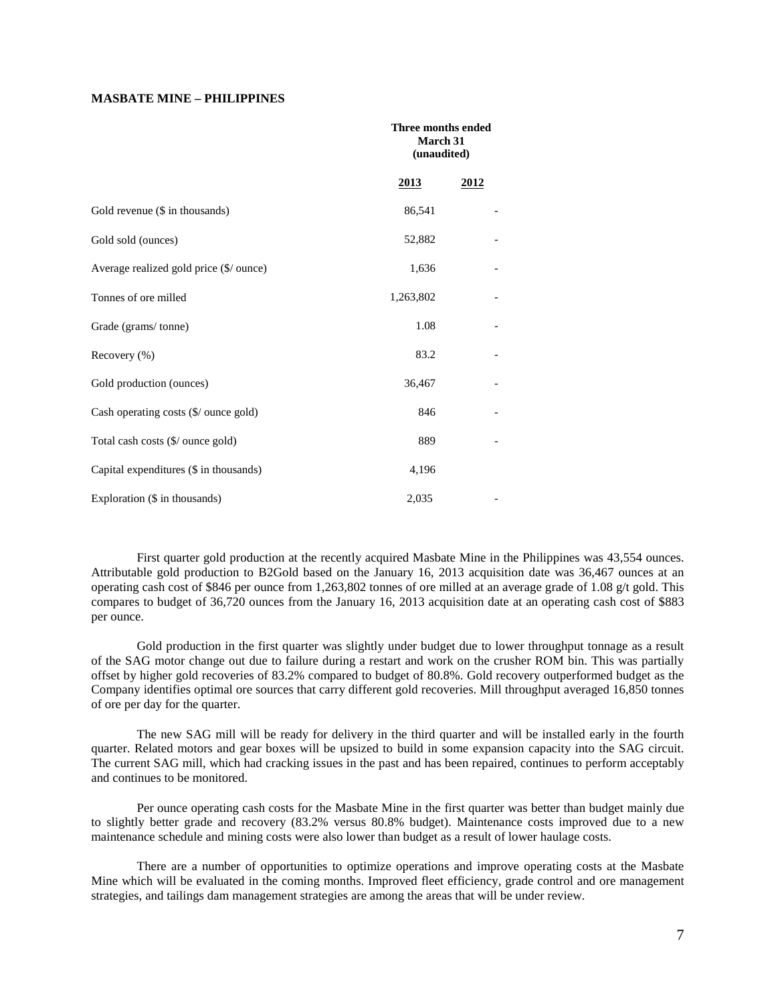# **MASBATE MINE – PHILIPPINES**

|                                         | Three months ended<br>March 31<br>(unaudited) |      |
|-----------------------------------------|-----------------------------------------------|------|
|                                         | <u>2013</u>                                   | 2012 |
| Gold revenue (\$ in thousands)          | 86,541                                        |      |
| Gold sold (ounces)                      | 52,882                                        |      |
| Average realized gold price (\$/ ounce) | 1,636                                         |      |
| Tonnes of ore milled                    | 1,263,802                                     |      |
| Grade (grams/tonne)                     | 1.08                                          |      |
| Recovery $(\% )$                        | 83.2                                          |      |
| Gold production (ounces)                | 36,467                                        |      |
| Cash operating costs (\$/ ounce gold)   | 846                                           |      |
| Total cash costs (\$/ ounce gold)       | 889                                           |      |
| Capital expenditures (\$ in thousands)  | 4,196                                         |      |
| Exploration (\$ in thousands)           | 2,035                                         |      |

First quarter gold production at the recently acquired Masbate Mine in the Philippines was 43,554 ounces. Attributable gold production to B2Gold based on the January 16, 2013 acquisition date was 36,467 ounces at an operating cash cost of \$846 per ounce from 1,263,802 tonnes of ore milled at an average grade of 1.08 g/t gold. This compares to budget of 36,720 ounces from the January 16, 2013 acquisition date at an operating cash cost of \$883 per ounce.

Gold production in the first quarter was slightly under budget due to lower throughput tonnage as a result of the SAG motor change out due to failure during a restart and work on the crusher ROM bin. This was partially offset by higher gold recoveries of 83.2% compared to budget of 80.8%. Gold recovery outperformed budget as the Company identifies optimal ore sources that carry different gold recoveries. Mill throughput averaged 16,850 tonnes of ore per day for the quarter.

The new SAG mill will be ready for delivery in the third quarter and will be installed early in the fourth quarter. Related motors and gear boxes will be upsized to build in some expansion capacity into the SAG circuit. The current SAG mill, which had cracking issues in the past and has been repaired, continues to perform acceptably and continues to be monitored.

Per ounce operating cash costs for the Masbate Mine in the first quarter was better than budget mainly due to slightly better grade and recovery (83.2% versus 80.8% budget). Maintenance costs improved due to a new maintenance schedule and mining costs were also lower than budget as a result of lower haulage costs.

There are a number of opportunities to optimize operations and improve operating costs at the Masbate Mine which will be evaluated in the coming months. Improved fleet efficiency, grade control and ore management strategies, and tailings dam management strategies are among the areas that will be under review.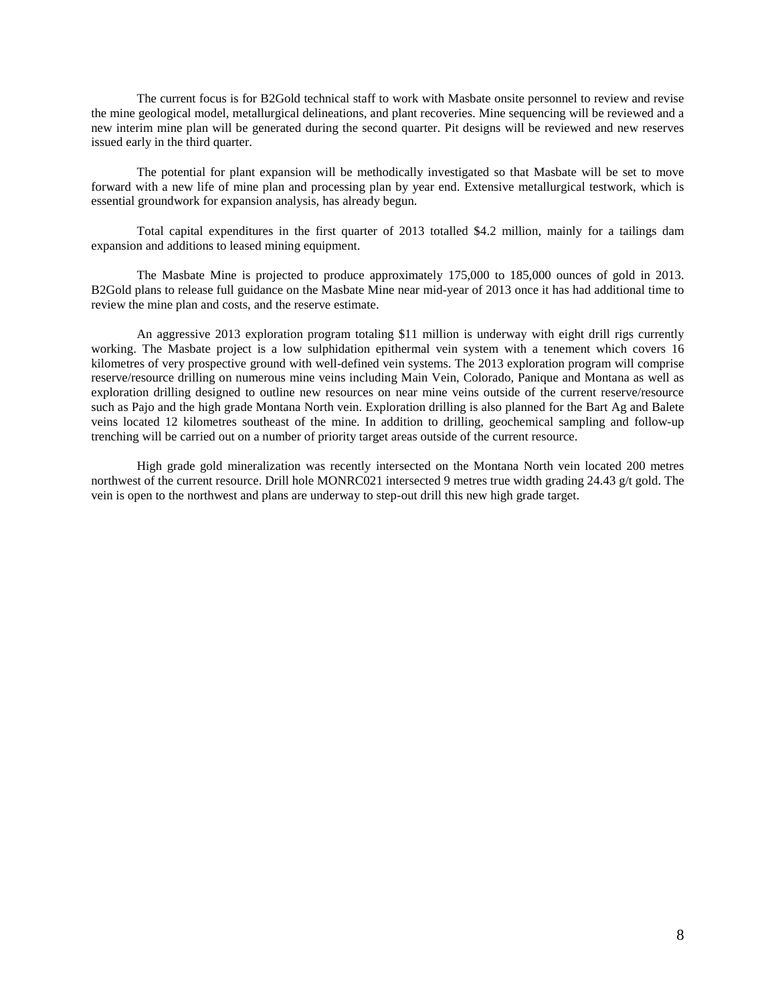The current focus is for B2Gold technical staff to work with Masbate onsite personnel to review and revise the mine geological model, metallurgical delineations, and plant recoveries. Mine sequencing will be reviewed and a new interim mine plan will be generated during the second quarter. Pit designs will be reviewed and new reserves issued early in the third quarter.

The potential for plant expansion will be methodically investigated so that Masbate will be set to move forward with a new life of mine plan and processing plan by year end. Extensive metallurgical testwork, which is essential groundwork for expansion analysis, has already begun.

Total capital expenditures in the first quarter of 2013 totalled \$4.2 million, mainly for a tailings dam expansion and additions to leased mining equipment.

The Masbate Mine is projected to produce approximately 175,000 to 185,000 ounces of gold in 2013. B2Gold plans to release full guidance on the Masbate Mine near mid-year of 2013 once it has had additional time to review the mine plan and costs, and the reserve estimate.

An aggressive 2013 exploration program totaling \$11 million is underway with eight drill rigs currently working. The Masbate project is a low sulphidation epithermal vein system with a tenement which covers 16 kilometres of very prospective ground with well-defined vein systems. The 2013 exploration program will comprise reserve/resource drilling on numerous mine veins including Main Vein, Colorado, Panique and Montana as well as exploration drilling designed to outline new resources on near mine veins outside of the current reserve/resource such as Pajo and the high grade Montana North vein. Exploration drilling is also planned for the Bart Ag and Balete veins located 12 kilometres southeast of the mine. In addition to drilling, geochemical sampling and follow-up trenching will be carried out on a number of priority target areas outside of the current resource.

High grade gold mineralization was recently intersected on the Montana North vein located 200 metres northwest of the current resource. Drill hole MONRC021 intersected 9 metres true width grading 24.43 g/t gold. The vein is open to the northwest and plans are underway to step-out drill this new high grade target.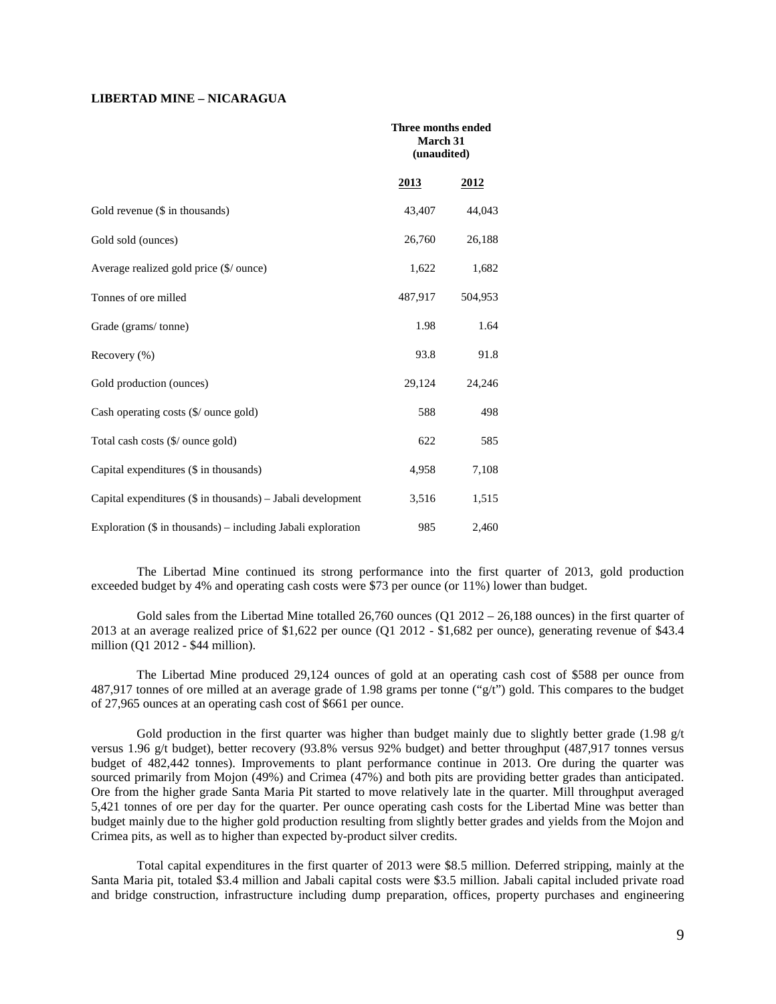## **LIBERTAD MINE – NICARAGUA**

|                                                               | Three months ended<br><b>March 31</b><br>(unaudited) |             |
|---------------------------------------------------------------|------------------------------------------------------|-------------|
|                                                               | <u>2013</u>                                          | <u>2012</u> |
| Gold revenue (\$ in thousands)                                | 43,407                                               | 44,043      |
| Gold sold (ounces)                                            | 26,760                                               | 26,188      |
| Average realized gold price (\$/ ounce)                       | 1,622                                                | 1,682       |
| Tonnes of ore milled                                          | 487,917                                              | 504,953     |
| Grade (grams/tonne)                                           | 1.98                                                 | 1.64        |
| Recovery $(\% )$                                              | 93.8                                                 | 91.8        |
| Gold production (ounces)                                      | 29,124                                               | 24,246      |
| Cash operating costs $(\frac{6}{\sqrt{2}})$ ounce gold)       | 588                                                  | 498         |
| Total cash costs (\$/ ounce gold)                             | 622                                                  | 585         |
| Capital expenditures (\$ in thousands)                        | 4,958                                                | 7,108       |
| Capital expenditures $(\$$ in thousands) – Jabali development | 3,516                                                | 1,515       |
| Exploration (\$ in thousands) - including Jabali exploration  | 985                                                  | 2,460       |

The Libertad Mine continued its strong performance into the first quarter of 2013, gold production exceeded budget by 4% and operating cash costs were \$73 per ounce (or 11%) lower than budget.

Gold sales from the Libertad Mine totalled  $26,760$  ounces (Q1 2012 – 26,188 ounces) in the first quarter of 2013 at an average realized price of \$1,622 per ounce (Q1 2012 - \$1,682 per ounce), generating revenue of \$43.4 million (Q1 2012 - \$44 million).

The Libertad Mine produced 29,124 ounces of gold at an operating cash cost of \$588 per ounce from 487,917 tonnes of ore milled at an average grade of 1.98 grams per tonne ("g/t") gold. This compares to the budget of 27,965 ounces at an operating cash cost of \$661 per ounce.

Gold production in the first quarter was higher than budget mainly due to slightly better grade (1.98  $g/t$ ) versus 1.96 g/t budget), better recovery (93.8% versus 92% budget) and better throughput (487,917 tonnes versus budget of 482,442 tonnes). Improvements to plant performance continue in 2013. Ore during the quarter was sourced primarily from Mojon (49%) and Crimea (47%) and both pits are providing better grades than anticipated. Ore from the higher grade Santa Maria Pit started to move relatively late in the quarter. Mill throughput averaged 5,421 tonnes of ore per day for the quarter. Per ounce operating cash costs for the Libertad Mine was better than budget mainly due to the higher gold production resulting from slightly better grades and yields from the Mojon and Crimea pits, as well as to higher than expected by-product silver credits.

Total capital expenditures in the first quarter of 2013 were \$8.5 million. Deferred stripping, mainly at the Santa Maria pit, totaled \$3.4 million and Jabali capital costs were \$3.5 million. Jabali capital included private road and bridge construction, infrastructure including dump preparation, offices, property purchases and engineering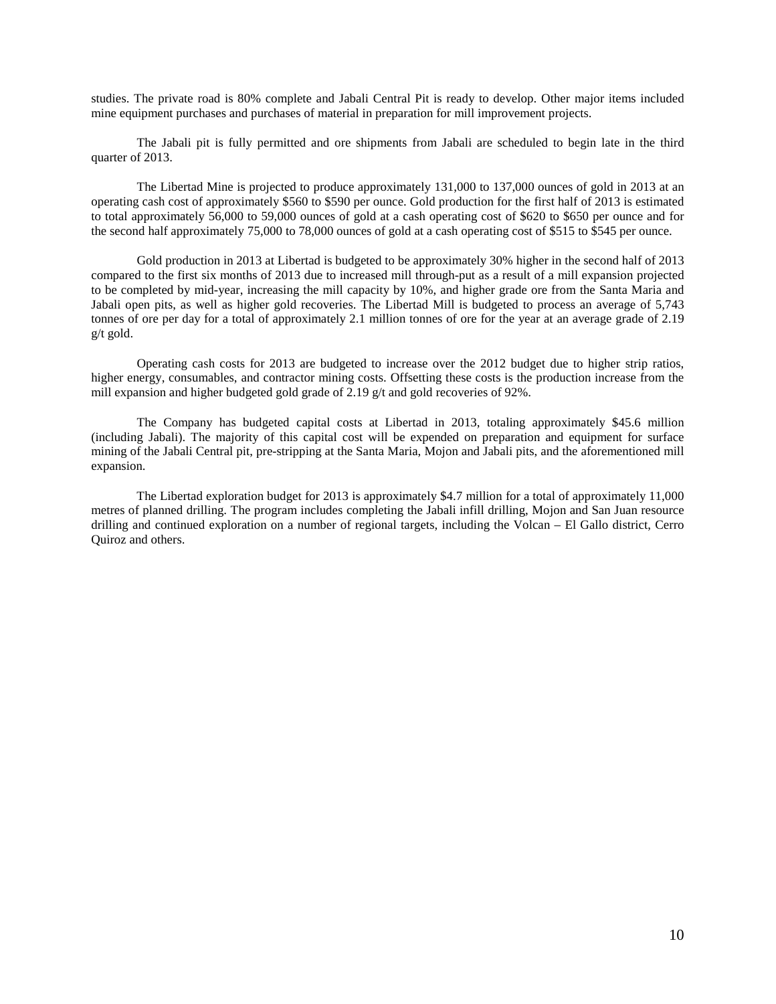studies. The private road is 80% complete and Jabali Central Pit is ready to develop. Other major items included mine equipment purchases and purchases of material in preparation for mill improvement projects.

The Jabali pit is fully permitted and ore shipments from Jabali are scheduled to begin late in the third quarter of 2013.

The Libertad Mine is projected to produce approximately 131,000 to 137,000 ounces of gold in 2013 at an operating cash cost of approximately \$560 to \$590 per ounce. Gold production for the first half of 2013 is estimated to total approximately 56,000 to 59,000 ounces of gold at a cash operating cost of \$620 to \$650 per ounce and for the second half approximately 75,000 to 78,000 ounces of gold at a cash operating cost of \$515 to \$545 per ounce.

Gold production in 2013 at Libertad is budgeted to be approximately 30% higher in the second half of 2013 compared to the first six months of 2013 due to increased mill through-put as a result of a mill expansion projected to be completed by mid-year, increasing the mill capacity by 10%, and higher grade ore from the Santa Maria and Jabali open pits, as well as higher gold recoveries. The Libertad Mill is budgeted to process an average of 5,743 tonnes of ore per day for a total of approximately 2.1 million tonnes of ore for the year at an average grade of 2.19 g/t gold.

Operating cash costs for 2013 are budgeted to increase over the 2012 budget due to higher strip ratios, higher energy, consumables, and contractor mining costs. Offsetting these costs is the production increase from the mill expansion and higher budgeted gold grade of 2.19 g/t and gold recoveries of 92%.

The Company has budgeted capital costs at Libertad in 2013, totaling approximately \$45.6 million (including Jabali). The majority of this capital cost will be expended on preparation and equipment for surface mining of the Jabali Central pit, pre-stripping at the Santa Maria, Mojon and Jabali pits, and the aforementioned mill expansion.

The Libertad exploration budget for 2013 is approximately \$4.7 million for a total of approximately 11,000 metres of planned drilling. The program includes completing the Jabali infill drilling, Mojon and San Juan resource drilling and continued exploration on a number of regional targets, including the Volcan – El Gallo district, Cerro Quiroz and others.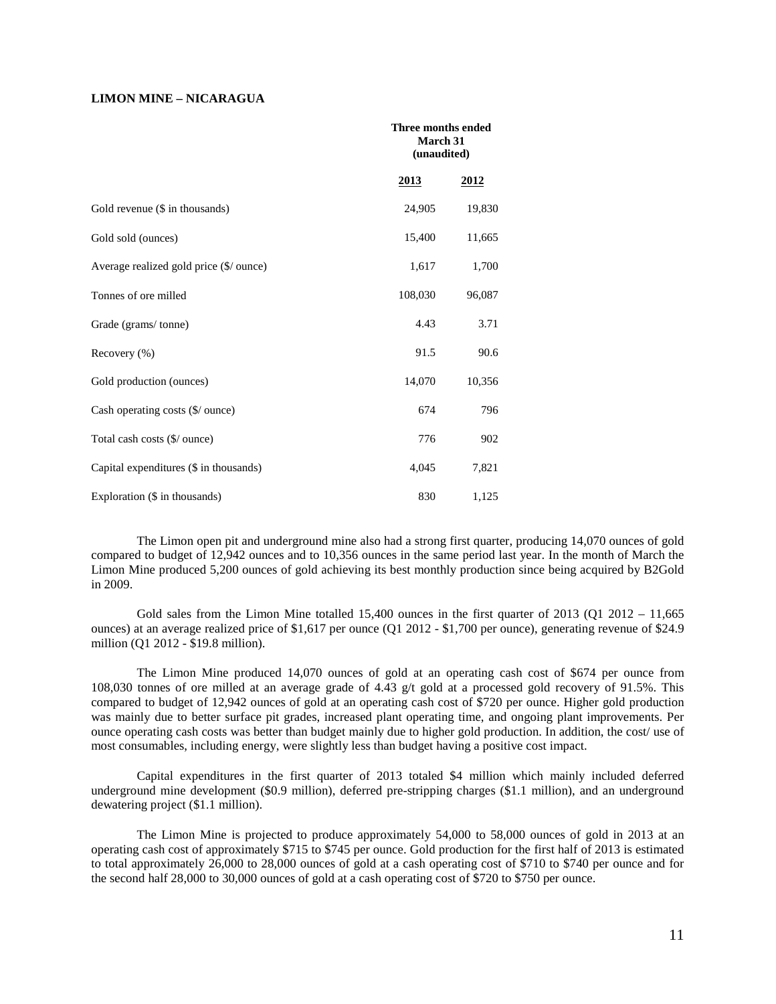## **LIMON MINE – NICARAGUA**

|                                         |         | Three months ended<br><b>March 31</b><br>(unaudited) |  |
|-----------------------------------------|---------|------------------------------------------------------|--|
|                                         | 2013    | 2012                                                 |  |
| Gold revenue (\$ in thousands)          | 24,905  | 19,830                                               |  |
| Gold sold (ounces)                      | 15,400  | 11,665                                               |  |
| Average realized gold price (\$/ ounce) | 1,617   | 1,700                                                |  |
| Tonnes of ore milled                    | 108,030 | 96,087                                               |  |
| Grade (grams/tonne)                     | 4.43    | 3.71                                                 |  |
| Recovery (%)                            | 91.5    | 90.6                                                 |  |
| Gold production (ounces)                | 14,070  | 10,356                                               |  |
| Cash operating costs (\$/ ounce)        | 674     | 796                                                  |  |
| Total cash costs (\$/ ounce)            | 776     | 902                                                  |  |
| Capital expenditures (\$ in thousands)  | 4,045   | 7,821                                                |  |
| Exploration (\$ in thousands)           | 830     | 1,125                                                |  |

The Limon open pit and underground mine also had a strong first quarter, producing 14,070 ounces of gold compared to budget of 12,942 ounces and to 10,356 ounces in the same period last year. In the month of March the Limon Mine produced 5,200 ounces of gold achieving its best monthly production since being acquired by B2Gold in 2009.

Gold sales from the Limon Mine totalled  $15,400$  ounces in the first quarter of 2013 (Q1 2012 – 11,665) ounces) at an average realized price of \$1,617 per ounce (Q1 2012 - \$1,700 per ounce), generating revenue of \$24.9 million (Q1 2012 - \$19.8 million).

The Limon Mine produced 14,070 ounces of gold at an operating cash cost of \$674 per ounce from 108,030 tonnes of ore milled at an average grade of 4.43 g/t gold at a processed gold recovery of 91.5%. This compared to budget of 12,942 ounces of gold at an operating cash cost of \$720 per ounce. Higher gold production was mainly due to better surface pit grades, increased plant operating time, and ongoing plant improvements. Per ounce operating cash costs was better than budget mainly due to higher gold production. In addition, the cost/ use of most consumables, including energy, were slightly less than budget having a positive cost impact.

Capital expenditures in the first quarter of 2013 totaled \$4 million which mainly included deferred underground mine development (\$0.9 million), deferred pre-stripping charges (\$1.1 million), and an underground dewatering project (\$1.1 million).

The Limon Mine is projected to produce approximately 54,000 to 58,000 ounces of gold in 2013 at an operating cash cost of approximately \$715 to \$745 per ounce. Gold production for the first half of 2013 is estimated to total approximately 26,000 to 28,000 ounces of gold at a cash operating cost of \$710 to \$740 per ounce and for the second half 28,000 to 30,000 ounces of gold at a cash operating cost of \$720 to \$750 per ounce.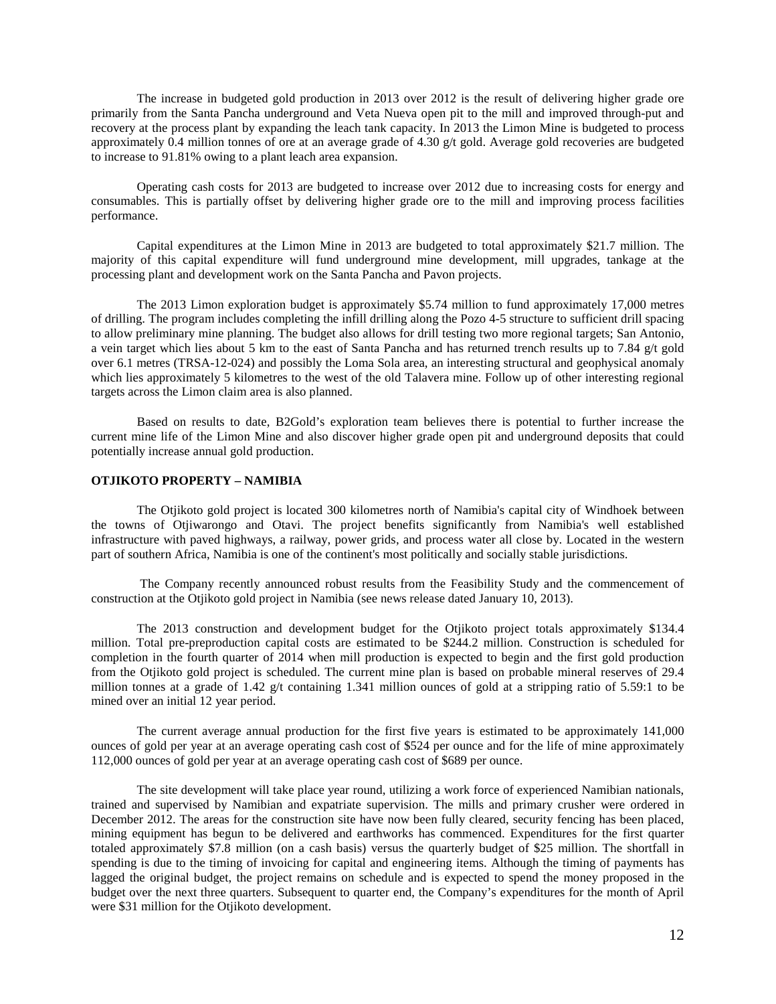The increase in budgeted gold production in 2013 over 2012 is the result of delivering higher grade ore primarily from the Santa Pancha underground and Veta Nueva open pit to the mill and improved through-put and recovery at the process plant by expanding the leach tank capacity. In 2013 the Limon Mine is budgeted to process approximately 0.4 million tonnes of ore at an average grade of 4.30 g/t gold. Average gold recoveries are budgeted to increase to 91.81% owing to a plant leach area expansion.

Operating cash costs for 2013 are budgeted to increase over 2012 due to increasing costs for energy and consumables. This is partially offset by delivering higher grade ore to the mill and improving process facilities performance.

Capital expenditures at the Limon Mine in 2013 are budgeted to total approximately \$21.7 million. The majority of this capital expenditure will fund underground mine development, mill upgrades, tankage at the processing plant and development work on the Santa Pancha and Pavon projects.

The 2013 Limon exploration budget is approximately \$5.74 million to fund approximately 17,000 metres of drilling. The program includes completing the infill drilling along the Pozo 4-5 structure to sufficient drill spacing to allow preliminary mine planning. The budget also allows for drill testing two more regional targets; San Antonio, a vein target which lies about 5 km to the east of Santa Pancha and has returned trench results up to 7.84 g/t gold over 6.1 metres (TRSA-12-024) and possibly the Loma Sola area, an interesting structural and geophysical anomaly which lies approximately 5 kilometres to the west of the old Talavera mine. Follow up of other interesting regional targets across the Limon claim area is also planned.

Based on results to date, B2Gold's exploration team believes there is potential to further increase the current mine life of the Limon Mine and also discover higher grade open pit and underground deposits that could potentially increase annual gold production.

# **OTJIKOTO PROPERTY – NAMIBIA**

The Otjikoto gold project is located 300 kilometres north of Namibia's capital city of Windhoek between the towns of Otjiwarongo and Otavi. The project benefits significantly from Namibia's well established infrastructure with paved highways, a railway, power grids, and process water all close by. Located in the western part of southern Africa, Namibia is one of the continent's most politically and socially stable jurisdictions.

The Company recently announced robust results from the Feasibility Study and the commencement of construction at the Otjikoto gold project in Namibia (see news release dated January 10, 2013).

The 2013 construction and development budget for the Otjikoto project totals approximately \$134.4 million. Total pre-preproduction capital costs are estimated to be \$244.2 million. Construction is scheduled for completion in the fourth quarter of 2014 when mill production is expected to begin and the first gold production from the Otjikoto gold project is scheduled. The current mine plan is based on probable mineral reserves of 29.4 million tonnes at a grade of 1.42 g/t containing 1.341 million ounces of gold at a stripping ratio of 5.59:1 to be mined over an initial 12 year period.

The current average annual production for the first five years is estimated to be approximately 141,000 ounces of gold per year at an average operating cash cost of \$524 per ounce and for the life of mine approximately 112,000 ounces of gold per year at an average operating cash cost of \$689 per ounce.

The site development will take place year round, utilizing a work force of experienced Namibian nationals, trained and supervised by Namibian and expatriate supervision. The mills and primary crusher were ordered in December 2012. The areas for the construction site have now been fully cleared, security fencing has been placed, mining equipment has begun to be delivered and earthworks has commenced. Expenditures for the first quarter totaled approximately \$7.8 million (on a cash basis) versus the quarterly budget of \$25 million. The shortfall in spending is due to the timing of invoicing for capital and engineering items. Although the timing of payments has lagged the original budget, the project remains on schedule and is expected to spend the money proposed in the budget over the next three quarters. Subsequent to quarter end, the Company's expenditures for the month of April were \$31 million for the Otjikoto development.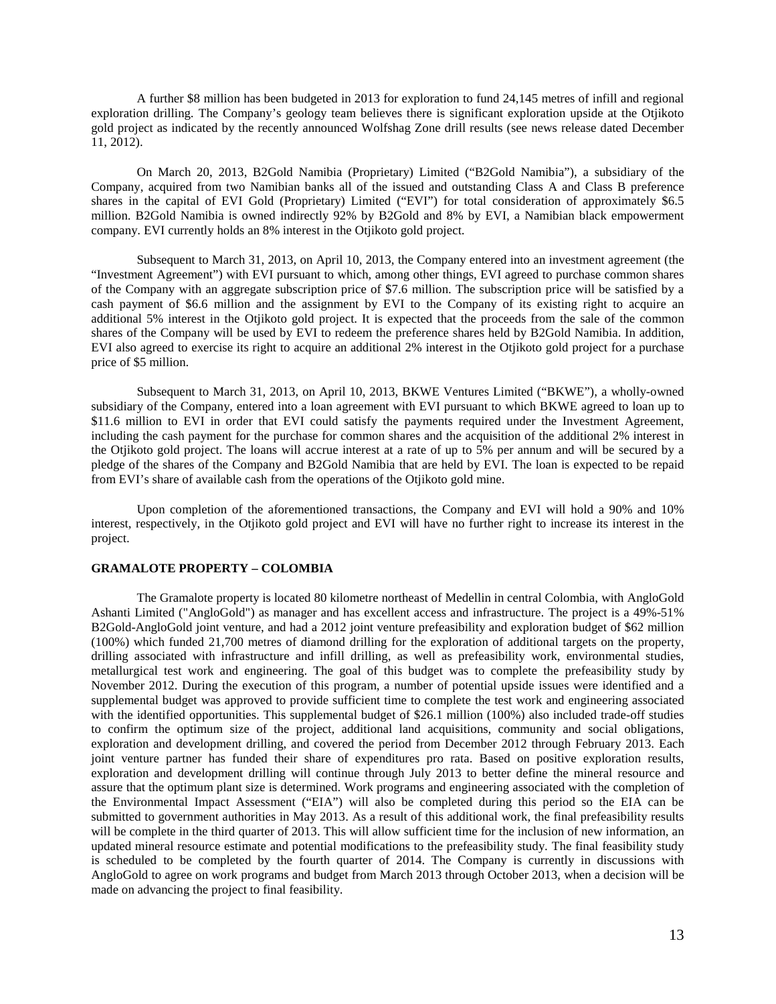A further \$8 million has been budgeted in 2013 for exploration to fund 24,145 metres of infill and regional exploration drilling. The Company's geology team believes there is significant exploration upside at the Otjikoto gold project as indicated by the recently announced Wolfshag Zone drill results (see news release dated December 11, 2012).

On March 20, 2013, B2Gold Namibia (Proprietary) Limited ("B2Gold Namibia"), a subsidiary of the Company, acquired from two Namibian banks all of the issued and outstanding Class A and Class B preference shares in the capital of EVI Gold (Proprietary) Limited ("EVI") for total consideration of approximately \$6.5 million. B2Gold Namibia is owned indirectly 92% by B2Gold and 8% by EVI, a Namibian black empowerment company. EVI currently holds an 8% interest in the Otjikoto gold project.

Subsequent to March 31, 2013, on April 10, 2013, the Company entered into an investment agreement (the "Investment Agreement") with EVI pursuant to which, among other things, EVI agreed to purchase common shares of the Company with an aggregate subscription price of \$7.6 million. The subscription price will be satisfied by a cash payment of \$6.6 million and the assignment by EVI to the Company of its existing right to acquire an additional 5% interest in the Otjikoto gold project. It is expected that the proceeds from the sale of the common shares of the Company will be used by EVI to redeem the preference shares held by B2Gold Namibia. In addition, EVI also agreed to exercise its right to acquire an additional 2% interest in the Otjikoto gold project for a purchase price of \$5 million.

Subsequent to March 31, 2013, on April 10, 2013, BKWE Ventures Limited ("BKWE"), a wholly-owned subsidiary of the Company, entered into a loan agreement with EVI pursuant to which BKWE agreed to loan up to \$11.6 million to EVI in order that EVI could satisfy the payments required under the Investment Agreement, including the cash payment for the purchase for common shares and the acquisition of the additional 2% interest in the Otjikoto gold project. The loans will accrue interest at a rate of up to 5% per annum and will be secured by a pledge of the shares of the Company and B2Gold Namibia that are held by EVI. The loan is expected to be repaid from EVI's share of available cash from the operations of the Otjikoto gold mine.

Upon completion of the aforementioned transactions, the Company and EVI will hold a 90% and 10% interest, respectively, in the Otjikoto gold project and EVI will have no further right to increase its interest in the project.

### **GRAMALOTE PROPERTY – COLOMBIA**

The Gramalote property is located 80 kilometre northeast of Medellin in central Colombia, with AngloGold Ashanti Limited ("AngloGold") as manager and has excellent access and infrastructure. The project is a 49%-51% B2Gold-AngloGold joint venture, and had a 2012 joint venture prefeasibility and exploration budget of \$62 million (100%) which funded 21,700 metres of diamond drilling for the exploration of additional targets on the property, drilling associated with infrastructure and infill drilling, as well as prefeasibility work, environmental studies, metallurgical test work and engineering. The goal of this budget was to complete the prefeasibility study by November 2012. During the execution of this program, a number of potential upside issues were identified and a supplemental budget was approved to provide sufficient time to complete the test work and engineering associated with the identified opportunities. This supplemental budget of \$26.1 million (100%) also included trade-off studies to confirm the optimum size of the project, additional land acquisitions, community and social obligations, exploration and development drilling, and covered the period from December 2012 through February 2013. Each joint venture partner has funded their share of expenditures pro rata. Based on positive exploration results, exploration and development drilling will continue through July 2013 to better define the mineral resource and assure that the optimum plant size is determined. Work programs and engineering associated with the completion of the Environmental Impact Assessment ("EIA") will also be completed during this period so the EIA can be submitted to government authorities in May 2013. As a result of this additional work, the final prefeasibility results will be complete in the third quarter of 2013. This will allow sufficient time for the inclusion of new information, an updated mineral resource estimate and potential modifications to the prefeasibility study. The final feasibility study is scheduled to be completed by the fourth quarter of 2014. The Company is currently in discussions with AngloGold to agree on work programs and budget from March 2013 through October 2013, when a decision will be made on advancing the project to final feasibility.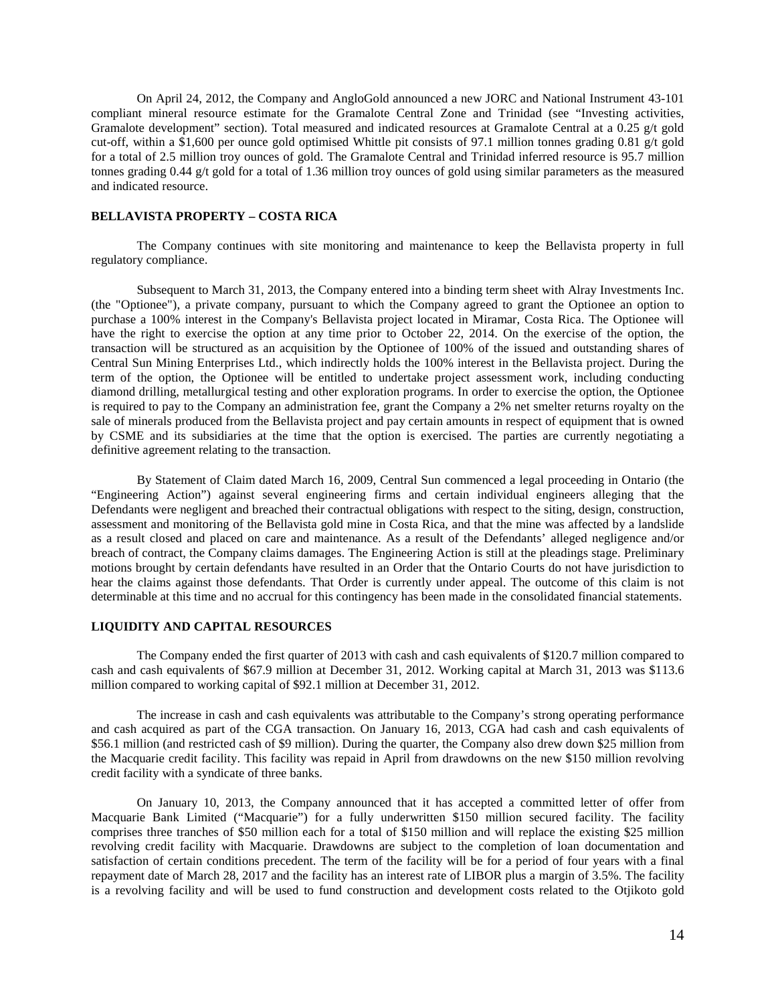On April 24, 2012, the Company and AngloGold announced a new JORC and National Instrument 43-101 compliant mineral resource estimate for the Gramalote Central Zone and Trinidad (see "Investing activities, Gramalote development" section). Total measured and indicated resources at Gramalote Central at a 0.25 g/t gold cut-off, within a \$1,600 per ounce gold optimised Whittle pit consists of 97.1 million tonnes grading 0.81 g/t gold for a total of 2.5 million troy ounces of gold. The Gramalote Central and Trinidad inferred resource is 95.7 million tonnes grading 0.44 g/t gold for a total of 1.36 million troy ounces of gold using similar parameters as the measured and indicated resource.

## **BELLAVISTA PROPERTY – COSTA RICA**

The Company continues with site monitoring and maintenance to keep the Bellavista property in full regulatory compliance.

Subsequent to March 31, 2013, the Company entered into a binding term sheet with Alray Investments Inc. (the "Optionee"), a private company, pursuant to which the Company agreed to grant the Optionee an option to purchase a 100% interest in the Company's Bellavista project located in Miramar, Costa Rica. The Optionee will have the right to exercise the option at any time prior to October 22, 2014. On the exercise of the option, the transaction will be structured as an acquisition by the Optionee of 100% of the issued and outstanding shares of Central Sun Mining Enterprises Ltd., which indirectly holds the 100% interest in the Bellavista project. During the term of the option, the Optionee will be entitled to undertake project assessment work, including conducting diamond drilling, metallurgical testing and other exploration programs. In order to exercise the option, the Optionee is required to pay to the Company an administration fee, grant the Company a 2% net smelter returns royalty on the sale of minerals produced from the Bellavista project and pay certain amounts in respect of equipment that is owned by CSME and its subsidiaries at the time that the option is exercised. The parties are currently negotiating a definitive agreement relating to the transaction.

By Statement of Claim dated March 16, 2009, Central Sun commenced a legal proceeding in Ontario (the "Engineering Action") against several engineering firms and certain individual engineers alleging that the Defendants were negligent and breached their contractual obligations with respect to the siting, design, construction, assessment and monitoring of the Bellavista gold mine in Costa Rica, and that the mine was affected by a landslide as a result closed and placed on care and maintenance. As a result of the Defendants' alleged negligence and/or breach of contract, the Company claims damages. The Engineering Action is still at the pleadings stage. Preliminary motions brought by certain defendants have resulted in an Order that the Ontario Courts do not have jurisdiction to hear the claims against those defendants. That Order is currently under appeal. The outcome of this claim is not determinable at this time and no accrual for this contingency has been made in the consolidated financial statements.

## **LIQUIDITY AND CAPITAL RESOURCES**

The Company ended the first quarter of 2013 with cash and cash equivalents of \$120.7 million compared to cash and cash equivalents of \$67.9 million at December 31, 2012. Working capital at March 31, 2013 was \$113.6 million compared to working capital of \$92.1 million at December 31, 2012.

The increase in cash and cash equivalents was attributable to the Company's strong operating performance and cash acquired as part of the CGA transaction. On January 16, 2013, CGA had cash and cash equivalents of \$56.1 million (and restricted cash of \$9 million). During the quarter, the Company also drew down \$25 million from the Macquarie credit facility. This facility was repaid in April from drawdowns on the new \$150 million revolving credit facility with a syndicate of three banks.

On January 10, 2013, the Company announced that it has accepted a committed letter of offer from Macquarie Bank Limited ("Macquarie") for a fully underwritten \$150 million secured facility. The facility comprises three tranches of \$50 million each for a total of \$150 million and will replace the existing \$25 million revolving credit facility with Macquarie. Drawdowns are subject to the completion of loan documentation and satisfaction of certain conditions precedent. The term of the facility will be for a period of four years with a final repayment date of March 28, 2017 and the facility has an interest rate of LIBOR plus a margin of 3.5%. The facility is a revolving facility and will be used to fund construction and development costs related to the Otjikoto gold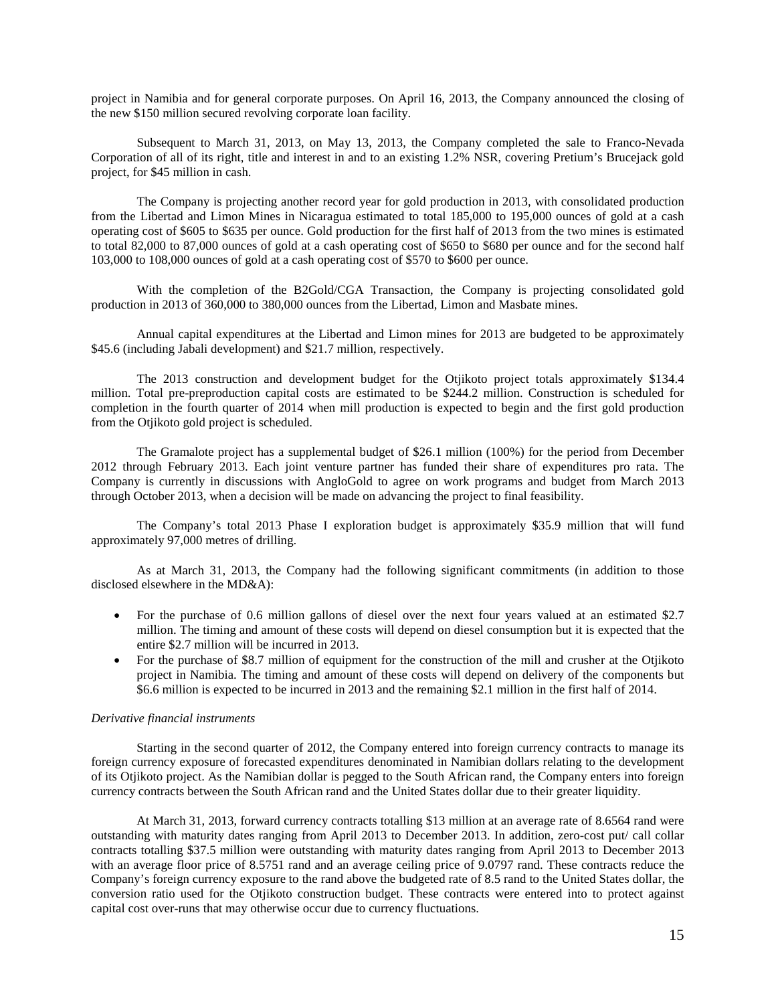project in Namibia and for general corporate purposes. On April 16, 2013, the Company announced the closing of the new \$150 million secured revolving corporate loan facility.

Subsequent to March 31, 2013, on May 13, 2013, the Company completed the sale to Franco-Nevada Corporation of all of its right, title and interest in and to an existing 1.2% NSR, covering Pretium's Brucejack gold project, for \$45 million in cash.

The Company is projecting another record year for gold production in 2013, with consolidated production from the Libertad and Limon Mines in Nicaragua estimated to total 185,000 to 195,000 ounces of gold at a cash operating cost of \$605 to \$635 per ounce. Gold production for the first half of 2013 from the two mines is estimated to total 82,000 to 87,000 ounces of gold at a cash operating cost of \$650 to \$680 per ounce and for the second half 103,000 to 108,000 ounces of gold at a cash operating cost of \$570 to \$600 per ounce.

With the completion of the B2Gold/CGA Transaction, the Company is projecting consolidated gold production in 2013 of 360,000 to 380,000 ounces from the Libertad, Limon and Masbate mines.

Annual capital expenditures at the Libertad and Limon mines for 2013 are budgeted to be approximately \$45.6 (including Jabali development) and \$21.7 million, respectively.

The 2013 construction and development budget for the Otjikoto project totals approximately \$134.4 million. Total pre-preproduction capital costs are estimated to be \$244.2 million. Construction is scheduled for completion in the fourth quarter of 2014 when mill production is expected to begin and the first gold production from the Otjikoto gold project is scheduled.

The Gramalote project has a supplemental budget of \$26.1 million (100%) for the period from December 2012 through February 2013. Each joint venture partner has funded their share of expenditures pro rata. The Company is currently in discussions with AngloGold to agree on work programs and budget from March 2013 through October 2013, when a decision will be made on advancing the project to final feasibility.

The Company's total 2013 Phase I exploration budget is approximately \$35.9 million that will fund approximately 97,000 metres of drilling.

As at March 31, 2013, the Company had the following significant commitments (in addition to those disclosed elsewhere in the MD&A):

- For the purchase of 0.6 million gallons of diesel over the next four years valued at an estimated \$2.7 million. The timing and amount of these costs will depend on diesel consumption but it is expected that the entire \$2.7 million will be incurred in 2013.
- For the purchase of \$8.7 million of equipment for the construction of the mill and crusher at the Otjikoto project in Namibia. The timing and amount of these costs will depend on delivery of the components but \$6.6 million is expected to be incurred in 2013 and the remaining \$2.1 million in the first half of 2014.

### *Derivative financial instruments*

Starting in the second quarter of 2012, the Company entered into foreign currency contracts to manage its foreign currency exposure of forecasted expenditures denominated in Namibian dollars relating to the development of its Otjikoto project. As the Namibian dollar is pegged to the South African rand, the Company enters into foreign currency contracts between the South African rand and the United States dollar due to their greater liquidity.

At March 31, 2013, forward currency contracts totalling \$13 million at an average rate of 8.6564 rand were outstanding with maturity dates ranging from April 2013 to December 2013. In addition, zero-cost put/ call collar contracts totalling \$37.5 million were outstanding with maturity dates ranging from April 2013 to December 2013 with an average floor price of 8.5751 rand and an average ceiling price of 9.0797 rand. These contracts reduce the Company's foreign currency exposure to the rand above the budgeted rate of 8.5 rand to the United States dollar, the conversion ratio used for the Otjikoto construction budget. These contracts were entered into to protect against capital cost over-runs that may otherwise occur due to currency fluctuations.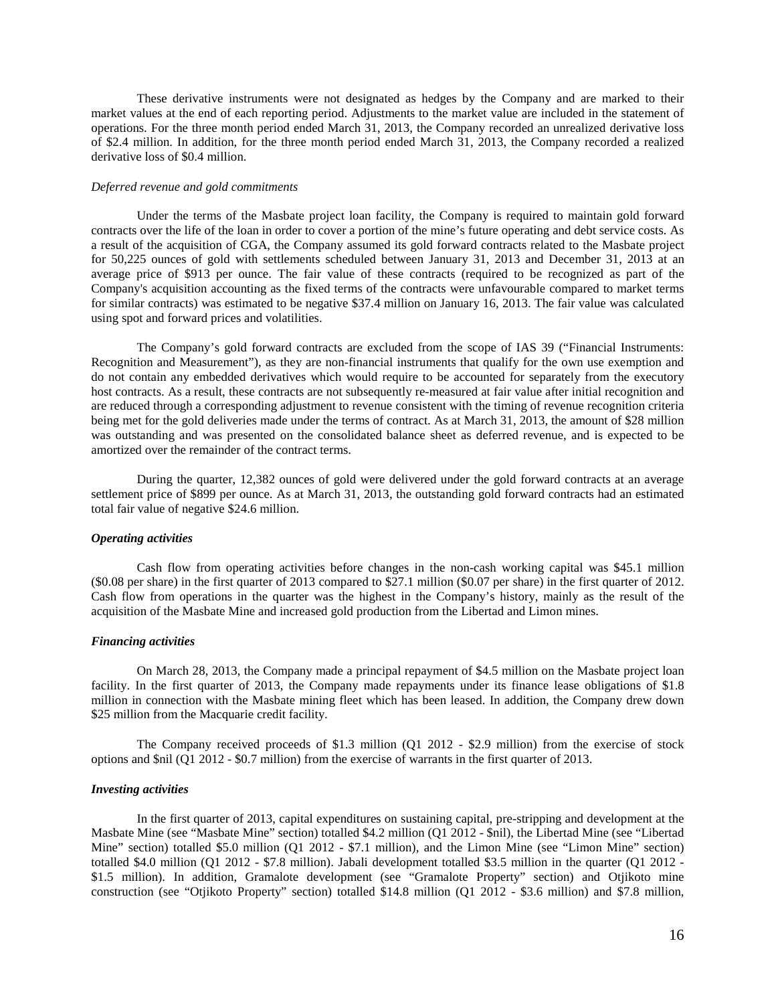These derivative instruments were not designated as hedges by the Company and are marked to their market values at the end of each reporting period. Adjustments to the market value are included in the statement of operations. For the three month period ended March 31, 2013, the Company recorded an unrealized derivative loss of \$2.4 million. In addition, for the three month period ended March 31, 2013, the Company recorded a realized derivative loss of \$0.4 million.

### *Deferred revenue and gold commitments*

Under the terms of the Masbate project loan facility, the Company is required to maintain gold forward contracts over the life of the loan in order to cover a portion of the mine's future operating and debt service costs. As a result of the acquisition of CGA, the Company assumed its gold forward contracts related to the Masbate project for 50,225 ounces of gold with settlements scheduled between January 31, 2013 and December 31, 2013 at an average price of \$913 per ounce. The fair value of these contracts (required to be recognized as part of the Company's acquisition accounting as the fixed terms of the contracts were unfavourable compared to market terms for similar contracts) was estimated to be negative \$37.4 million on January 16, 2013. The fair value was calculated using spot and forward prices and volatilities.

The Company's gold forward contracts are excluded from the scope of IAS 39 ("Financial Instruments: Recognition and Measurement"), as they are non-financial instruments that qualify for the own use exemption and do not contain any embedded derivatives which would require to be accounted for separately from the executory host contracts. As a result, these contracts are not subsequently re-measured at fair value after initial recognition and are reduced through a corresponding adjustment to revenue consistent with the timing of revenue recognition criteria being met for the gold deliveries made under the terms of contract. As at March 31, 2013, the amount of \$28 million was outstanding and was presented on the consolidated balance sheet as deferred revenue, and is expected to be amortized over the remainder of the contract terms.

During the quarter, 12,382 ounces of gold were delivered under the gold forward contracts at an average settlement price of \$899 per ounce. As at March 31, 2013, the outstanding gold forward contracts had an estimated total fair value of negative \$24.6 million.

### *Operating activities*

Cash flow from operating activities before changes in the non-cash working capital was \$45.1 million (\$0.08 per share) in the first quarter of 2013 compared to \$27.1 million (\$0.07 per share) in the first quarter of 2012. Cash flow from operations in the quarter was the highest in the Company's history, mainly as the result of the acquisition of the Masbate Mine and increased gold production from the Libertad and Limon mines.

#### *Financing activities*

On March 28, 2013, the Company made a principal repayment of \$4.5 million on the Masbate project loan facility. In the first quarter of 2013, the Company made repayments under its finance lease obligations of \$1.8 million in connection with the Masbate mining fleet which has been leased. In addition, the Company drew down \$25 million from the Macquarie credit facility.

The Company received proceeds of \$1.3 million (Q1 2012 - \$2.9 million) from the exercise of stock options and \$nil (Q1 2012 - \$0.7 million) from the exercise of warrants in the first quarter of 2013.

#### *Investing activities*

In the first quarter of 2013, capital expenditures on sustaining capital, pre-stripping and development at the Masbate Mine (see "Masbate Mine" section) totalled \$4.2 million (Q1 2012 - \$nil), the Libertad Mine (see "Libertad Mine" section) totalled \$5.0 million (Q1 2012 - \$7.1 million), and the Limon Mine (see "Limon Mine" section) totalled \$4.0 million (Q1 2012 - \$7.8 million). Jabali development totalled \$3.5 million in the quarter (Q1 2012 - \$1.5 million). In addition, Gramalote development (see "Gramalote Property" section) and Otjikoto mine construction (see "Otjikoto Property" section) totalled \$14.8 million (Q1 2012 - \$3.6 million) and \$7.8 million,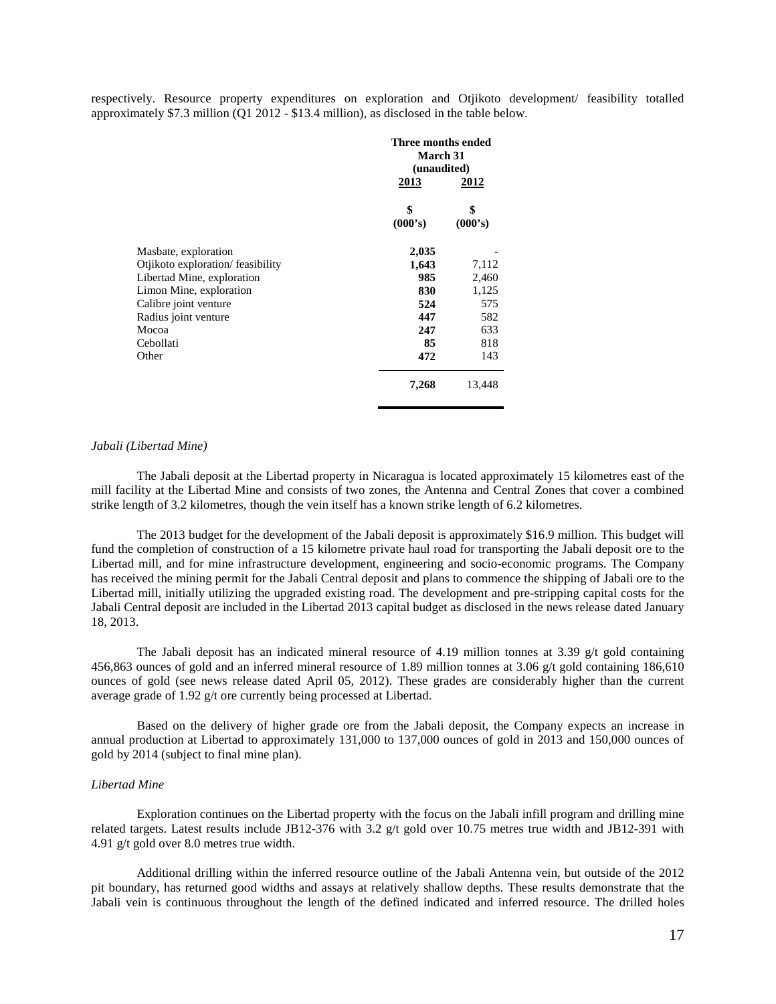respectively. Resource property expenditures on exploration and Otjikoto development/ feasibility totalled approximately \$7.3 million (Q1 2012 - \$13.4 million), as disclosed in the table below.

|                                   | Three months ended<br>March 31<br>(unaudited)<br>2013<br>2012 |               |
|-----------------------------------|---------------------------------------------------------------|---------------|
|                                   | \$<br>(000's)                                                 | \$<br>(000's) |
| Masbate, exploration              | 2,035                                                         |               |
| Otjikoto exploration/ feasibility | 1,643                                                         | 7,112         |
| Libertad Mine, exploration        | 985                                                           | 2,460         |
| Limon Mine, exploration           | 830                                                           | 1,125         |
| Calibre joint venture             | 524                                                           | 575           |
| Radius joint venture              | 447                                                           | 582           |
| Mocoa                             | 247                                                           | 633           |
| Cebollati                         | 85                                                            | 818           |
| Other                             | 472                                                           | 143           |
|                                   | 7,268                                                         | 13,448        |

#### *Jabali (Libertad Mine)*

The Jabali deposit at the Libertad property in Nicaragua is located approximately 15 kilometres east of the mill facility at the Libertad Mine and consists of two zones, the Antenna and Central Zones that cover a combined strike length of 3.2 kilometres, though the vein itself has a known strike length of 6.2 kilometres.

The 2013 budget for the development of the Jabali deposit is approximately \$16.9 million. This budget will fund the completion of construction of a 15 kilometre private haul road for transporting the Jabali deposit ore to the Libertad mill, and for mine infrastructure development, engineering and socio-economic programs. The Company has received the mining permit for the Jabali Central deposit and plans to commence the shipping of Jabali ore to the Libertad mill, initially utilizing the upgraded existing road. The development and pre-stripping capital costs for the Jabali Central deposit are included in the Libertad 2013 capital budget as disclosed in the news release dated January 18, 2013.

The Jabali deposit has an indicated mineral resource of 4.19 million tonnes at 3.39  $g/t$  gold containing 456,863 ounces of gold and an inferred mineral resource of 1.89 million tonnes at 3.06 g/t gold containing 186,610 ounces of gold (see news release dated April 05, 2012). These grades are considerably higher than the current average grade of 1.92 g/t ore currently being processed at Libertad.

Based on the delivery of higher grade ore from the Jabali deposit, the Company expects an increase in annual production at Libertad to approximately 131,000 to 137,000 ounces of gold in 2013 and 150,000 ounces of gold by 2014 (subject to final mine plan).

### *Libertad Mine*

Exploration continues on the Libertad property with the focus on the Jabali infill program and drilling mine related targets. Latest results include JB12-376 with 3.2 g/t gold over 10.75 metres true width and JB12-391 with 4.91 g/t gold over 8.0 metres true width.

Additional drilling within the inferred resource outline of the Jabali Antenna vein, but outside of the 2012 pit boundary, has returned good widths and assays at relatively shallow depths. These results demonstrate that the Jabali vein is continuous throughout the length of the defined indicated and inferred resource. The drilled holes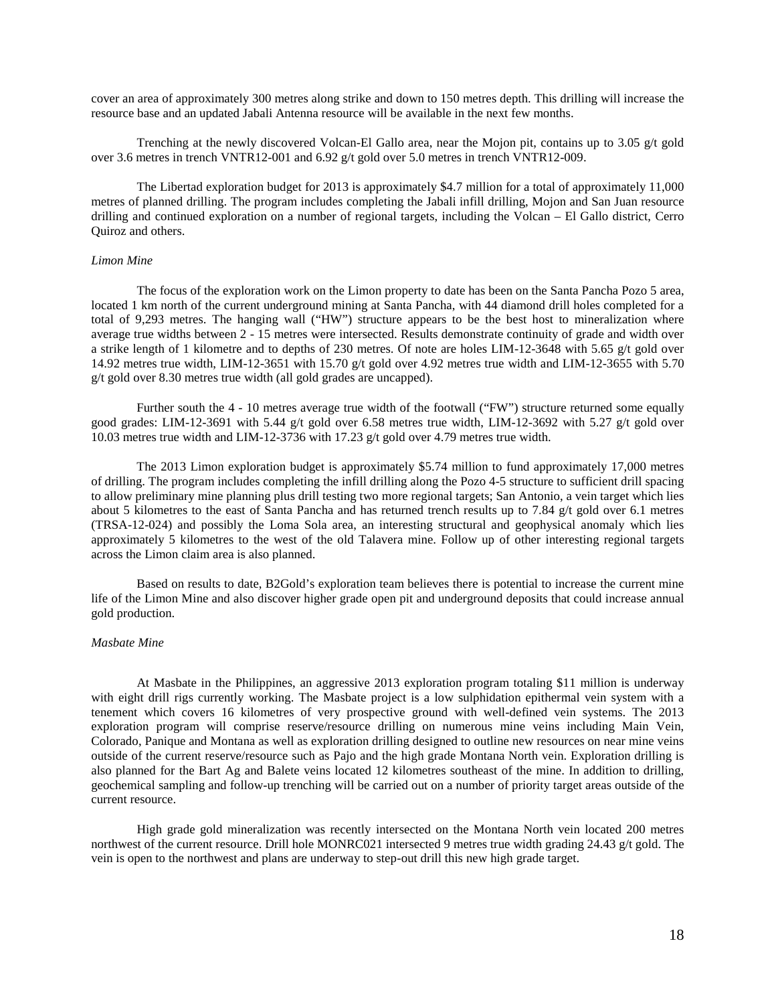cover an area of approximately 300 metres along strike and down to 150 metres depth. This drilling will increase the resource base and an updated Jabali Antenna resource will be available in the next few months.

Trenching at the newly discovered Volcan-El Gallo area, near the Mojon pit, contains up to 3.05 g/t gold over 3.6 metres in trench VNTR12-001 and 6.92 g/t gold over 5.0 metres in trench VNTR12-009.

The Libertad exploration budget for 2013 is approximately \$4.7 million for a total of approximately 11,000 metres of planned drilling. The program includes completing the Jabali infill drilling, Mojon and San Juan resource drilling and continued exploration on a number of regional targets, including the Volcan – El Gallo district, Cerro Quiroz and others.

### *Limon Mine*

The focus of the exploration work on the Limon property to date has been on the Santa Pancha Pozo 5 area, located 1 km north of the current underground mining at Santa Pancha, with 44 diamond drill holes completed for a total of 9,293 metres. The hanging wall ("HW") structure appears to be the best host to mineralization where average true widths between 2 - 15 metres were intersected. Results demonstrate continuity of grade and width over a strike length of 1 kilometre and to depths of 230 metres. Of note are holes LIM-12-3648 with 5.65 g/t gold over 14.92 metres true width, LIM-12-3651 with 15.70 g/t gold over 4.92 metres true width and LIM-12-3655 with 5.70 g/t gold over 8.30 metres true width (all gold grades are uncapped).

Further south the 4 - 10 metres average true width of the footwall ("FW") structure returned some equally good grades: LIM-12-3691 with 5.44 g/t gold over 6.58 metres true width, LIM-12-3692 with 5.27 g/t gold over 10.03 metres true width and LIM-12-3736 with 17.23 g/t gold over 4.79 metres true width.

The 2013 Limon exploration budget is approximately \$5.74 million to fund approximately 17,000 metres of drilling. The program includes completing the infill drilling along the Pozo 4-5 structure to sufficient drill spacing to allow preliminary mine planning plus drill testing two more regional targets; San Antonio, a vein target which lies about 5 kilometres to the east of Santa Pancha and has returned trench results up to 7.84 g/t gold over 6.1 metres (TRSA-12-024) and possibly the Loma Sola area, an interesting structural and geophysical anomaly which lies approximately 5 kilometres to the west of the old Talavera mine. Follow up of other interesting regional targets across the Limon claim area is also planned.

Based on results to date, B2Gold's exploration team believes there is potential to increase the current mine life of the Limon Mine and also discover higher grade open pit and underground deposits that could increase annual gold production.

## *Masbate Mine*

At Masbate in the Philippines, an aggressive 2013 exploration program totaling \$11 million is underway with eight drill rigs currently working. The Masbate project is a low sulphidation epithermal vein system with a tenement which covers 16 kilometres of very prospective ground with well-defined vein systems. The 2013 exploration program will comprise reserve/resource drilling on numerous mine veins including Main Vein, Colorado, Panique and Montana as well as exploration drilling designed to outline new resources on near mine veins outside of the current reserve/resource such as Pajo and the high grade Montana North vein. Exploration drilling is also planned for the Bart Ag and Balete veins located 12 kilometres southeast of the mine. In addition to drilling, geochemical sampling and follow-up trenching will be carried out on a number of priority target areas outside of the current resource.

High grade gold mineralization was recently intersected on the Montana North vein located 200 metres northwest of the current resource. Drill hole MONRC021 intersected 9 metres true width grading 24.43 g/t gold. The vein is open to the northwest and plans are underway to step-out drill this new high grade target.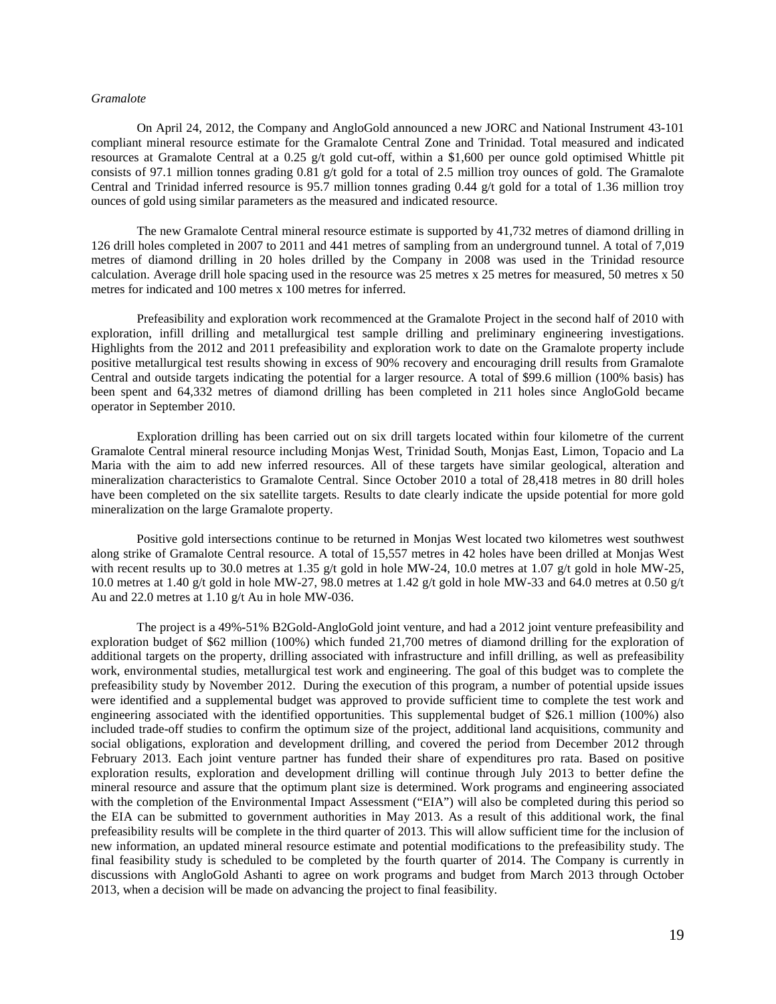### *Gramalote*

On April 24, 2012, the Company and AngloGold announced a new JORC and National Instrument 43-101 compliant mineral resource estimate for the Gramalote Central Zone and Trinidad. Total measured and indicated resources at Gramalote Central at a 0.25 g/t gold cut-off, within a \$1,600 per ounce gold optimised Whittle pit consists of 97.1 million tonnes grading 0.81 g/t gold for a total of 2.5 million troy ounces of gold. The Gramalote Central and Trinidad inferred resource is 95.7 million tonnes grading 0.44 g/t gold for a total of 1.36 million troy ounces of gold using similar parameters as the measured and indicated resource.

The new Gramalote Central mineral resource estimate is supported by 41,732 metres of diamond drilling in 126 drill holes completed in 2007 to 2011 and 441 metres of sampling from an underground tunnel. A total of 7,019 metres of diamond drilling in 20 holes drilled by the Company in 2008 was used in the Trinidad resource calculation. Average drill hole spacing used in the resource was 25 metres x 25 metres for measured, 50 metres x 50 metres for indicated and 100 metres x 100 metres for inferred.

Prefeasibility and exploration work recommenced at the Gramalote Project in the second half of 2010 with exploration, infill drilling and metallurgical test sample drilling and preliminary engineering investigations. Highlights from the 2012 and 2011 prefeasibility and exploration work to date on the Gramalote property include positive metallurgical test results showing in excess of 90% recovery and encouraging drill results from Gramalote Central and outside targets indicating the potential for a larger resource. A total of \$99.6 million (100% basis) has been spent and 64,332 metres of diamond drilling has been completed in 211 holes since AngloGold became operator in September 2010.

Exploration drilling has been carried out on six drill targets located within four kilometre of the current Gramalote Central mineral resource including Monjas West, Trinidad South, Monjas East, Limon, Topacio and La Maria with the aim to add new inferred resources. All of these targets have similar geological, alteration and mineralization characteristics to Gramalote Central. Since October 2010 a total of 28,418 metres in 80 drill holes have been completed on the six satellite targets. Results to date clearly indicate the upside potential for more gold mineralization on the large Gramalote property.

Positive gold intersections continue to be returned in Monjas West located two kilometres west southwest along strike of Gramalote Central resource. A total of 15,557 metres in 42 holes have been drilled at Monjas West with recent results up to 30.0 metres at 1.35 g/t gold in hole MW-24, 10.0 metres at 1.07 g/t gold in hole MW-25, 10.0 metres at 1.40 g/t gold in hole MW-27, 98.0 metres at 1.42 g/t gold in hole MW-33 and 64.0 metres at 0.50 g/t Au and 22.0 metres at 1.10 g/t Au in hole MW-036.

The project is a 49%-51% B2Gold-AngloGold joint venture, and had a 2012 joint venture prefeasibility and exploration budget of \$62 million (100%) which funded 21,700 metres of diamond drilling for the exploration of additional targets on the property, drilling associated with infrastructure and infill drilling, as well as prefeasibility work, environmental studies, metallurgical test work and engineering. The goal of this budget was to complete the prefeasibility study by November 2012. During the execution of this program, a number of potential upside issues were identified and a supplemental budget was approved to provide sufficient time to complete the test work and engineering associated with the identified opportunities. This supplemental budget of \$26.1 million (100%) also included trade-off studies to confirm the optimum size of the project, additional land acquisitions, community and social obligations, exploration and development drilling, and covered the period from December 2012 through February 2013. Each joint venture partner has funded their share of expenditures pro rata. Based on positive exploration results, exploration and development drilling will continue through July 2013 to better define the mineral resource and assure that the optimum plant size is determined. Work programs and engineering associated with the completion of the Environmental Impact Assessment ("EIA") will also be completed during this period so the EIA can be submitted to government authorities in May 2013. As a result of this additional work, the final prefeasibility results will be complete in the third quarter of 2013. This will allow sufficient time for the inclusion of new information, an updated mineral resource estimate and potential modifications to the prefeasibility study. The final feasibility study is scheduled to be completed by the fourth quarter of 2014. The Company is currently in discussions with AngloGold Ashanti to agree on work programs and budget from March 2013 through October 2013, when a decision will be made on advancing the project to final feasibility.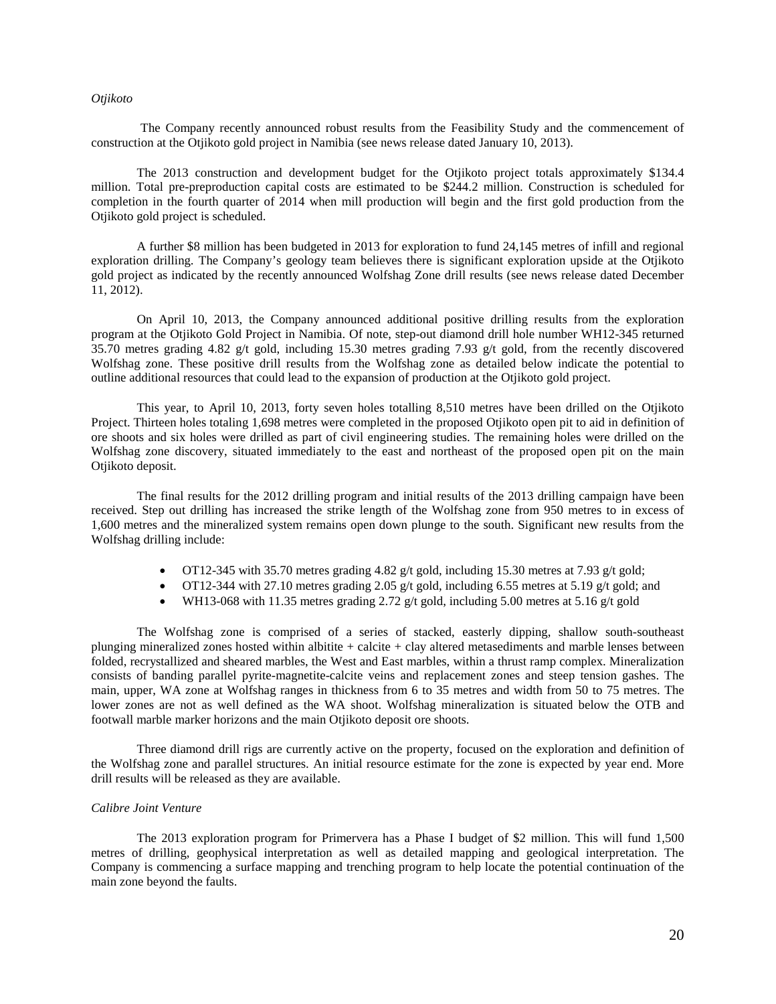## *Otjikoto*

The Company recently announced robust results from the Feasibility Study and the commencement of construction at the Otjikoto gold project in Namibia (see news release dated January 10, 2013).

The 2013 construction and development budget for the Otjikoto project totals approximately \$134.4 million. Total pre-preproduction capital costs are estimated to be \$244.2 million. Construction is scheduled for completion in the fourth quarter of 2014 when mill production will begin and the first gold production from the Otjikoto gold project is scheduled.

A further \$8 million has been budgeted in 2013 for exploration to fund 24,145 metres of infill and regional exploration drilling. The Company's geology team believes there is significant exploration upside at the Otjikoto gold project as indicated by the recently announced Wolfshag Zone drill results (see news release dated December 11, 2012).

On April 10, 2013, the Company announced additional positive drilling results from the exploration program at the Otjikoto Gold Project in Namibia. Of note, step-out diamond drill hole number WH12-345 returned 35.70 metres grading 4.82 g/t gold, including 15.30 metres grading 7.93 g/t gold, from the recently discovered Wolfshag zone. These positive drill results from the Wolfshag zone as detailed below indicate the potential to outline additional resources that could lead to the expansion of production at the Otjikoto gold project.

This year, to April 10, 2013, forty seven holes totalling 8,510 metres have been drilled on the Otjikoto Project. Thirteen holes totaling 1,698 metres were completed in the proposed Otjikoto open pit to aid in definition of ore shoots and six holes were drilled as part of civil engineering studies. The remaining holes were drilled on the Wolfshag zone discovery, situated immediately to the east and northeast of the proposed open pit on the main Otjikoto deposit.

The final results for the 2012 drilling program and initial results of the 2013 drilling campaign have been received. Step out drilling has increased the strike length of the Wolfshag zone from 950 metres to in excess of 1,600 metres and the mineralized system remains open down plunge to the south. Significant new results from the Wolfshag drilling include:

- OT12-345 with 35.70 metres grading 4.82 g/t gold, including 15.30 metres at 7.93 g/t gold;
- OT12-344 with 27.10 metres grading 2.05 g/t gold, including 6.55 metres at 5.19 g/t gold; and
- WH13-068 with 11.35 metres grading 2.72  $g/t$  gold, including 5.00 metres at 5.16  $g/t$  gold

The Wolfshag zone is comprised of a series of stacked, easterly dipping, shallow south-southeast plunging mineralized zones hosted within albitite  $+$  calcite  $+$  clay altered metasediments and marble lenses between folded, recrystallized and sheared marbles, the West and East marbles, within a thrust ramp complex. Mineralization consists of banding parallel pyrite-magnetite-calcite veins and replacement zones and steep tension gashes. The main, upper, WA zone at Wolfshag ranges in thickness from 6 to 35 metres and width from 50 to 75 metres. The lower zones are not as well defined as the WA shoot. Wolfshag mineralization is situated below the OTB and footwall marble marker horizons and the main Otjikoto deposit ore shoots.

Three diamond drill rigs are currently active on the property, focused on the exploration and definition of the Wolfshag zone and parallel structures. An initial resource estimate for the zone is expected by year end. More drill results will be released as they are available.

## *Calibre Joint Venture*

The 2013 exploration program for Primervera has a Phase I budget of \$2 million. This will fund 1,500 metres of drilling, geophysical interpretation as well as detailed mapping and geological interpretation. The Company is commencing a surface mapping and trenching program to help locate the potential continuation of the main zone beyond the faults.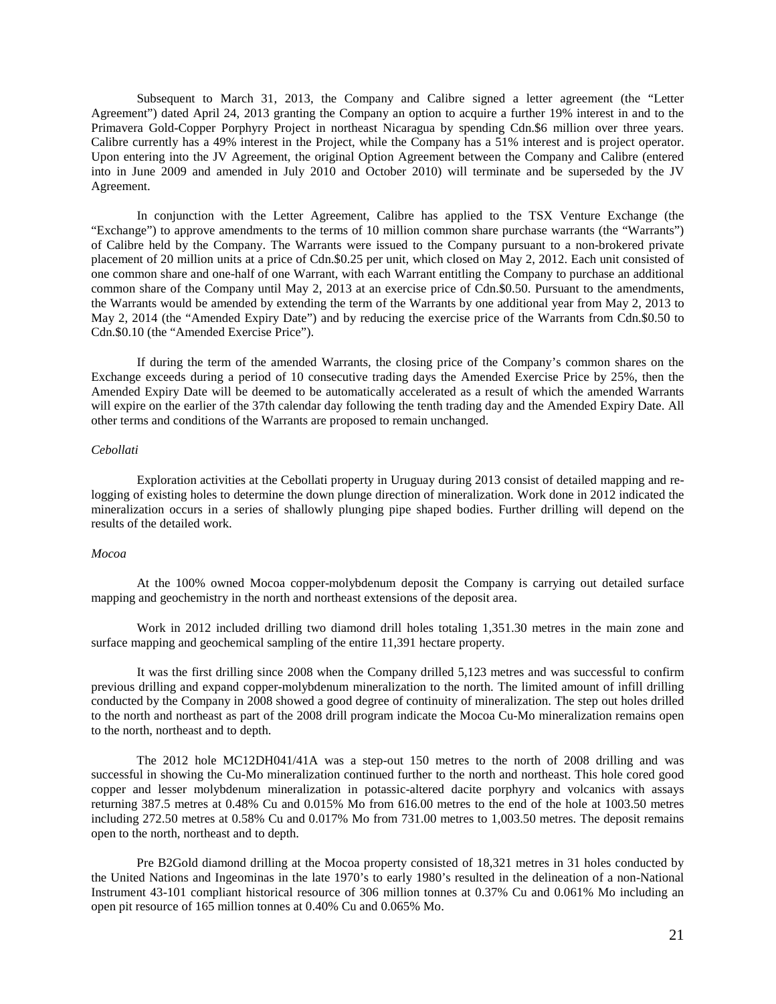Subsequent to March 31, 2013, the Company and Calibre signed a letter agreement (the "Letter Agreement") dated April 24, 2013 granting the Company an option to acquire a further 19% interest in and to the Primavera Gold-Copper Porphyry Project in northeast Nicaragua by spending Cdn.\$6 million over three years. Calibre currently has a 49% interest in the Project, while the Company has a 51% interest and is project operator. Upon entering into the JV Agreement, the original Option Agreement between the Company and Calibre (entered into in June 2009 and amended in July 2010 and October 2010) will terminate and be superseded by the JV Agreement.

In conjunction with the Letter Agreement, Calibre has applied to the TSX Venture Exchange (the "Exchange") to approve amendments to the terms of 10 million common share purchase warrants (the "Warrants") of Calibre held by the Company. The Warrants were issued to the Company pursuant to a non-brokered private placement of 20 million units at a price of Cdn.\$0.25 per unit, which closed on May 2, 2012. Each unit consisted of one common share and one-half of one Warrant, with each Warrant entitling the Company to purchase an additional common share of the Company until May 2, 2013 at an exercise price of Cdn.\$0.50. Pursuant to the amendments, the Warrants would be amended by extending the term of the Warrants by one additional year from May 2, 2013 to May 2, 2014 (the "Amended Expiry Date") and by reducing the exercise price of the Warrants from Cdn.\$0.50 to Cdn.\$0.10 (the "Amended Exercise Price").

If during the term of the amended Warrants, the closing price of the Company's common shares on the Exchange exceeds during a period of 10 consecutive trading days the Amended Exercise Price by 25%, then the Amended Expiry Date will be deemed to be automatically accelerated as a result of which the amended Warrants will expire on the earlier of the 37th calendar day following the tenth trading day and the Amended Expiry Date. All other terms and conditions of the Warrants are proposed to remain unchanged.

### *Cebollati*

Exploration activities at the Cebollati property in Uruguay during 2013 consist of detailed mapping and relogging of existing holes to determine the down plunge direction of mineralization. Work done in 2012 indicated the mineralization occurs in a series of shallowly plunging pipe shaped bodies. Further drilling will depend on the results of the detailed work.

## *Mocoa*

At the 100% owned Mocoa copper-molybdenum deposit the Company is carrying out detailed surface mapping and geochemistry in the north and northeast extensions of the deposit area.

Work in 2012 included drilling two diamond drill holes totaling 1,351.30 metres in the main zone and surface mapping and geochemical sampling of the entire 11,391 hectare property.

It was the first drilling since 2008 when the Company drilled 5,123 metres and was successful to confirm previous drilling and expand copper-molybdenum mineralization to the north. The limited amount of infill drilling conducted by the Company in 2008 showed a good degree of continuity of mineralization. The step out holes drilled to the north and northeast as part of the 2008 drill program indicate the Mocoa Cu-Mo mineralization remains open to the north, northeast and to depth.

The 2012 hole MC12DH041/41A was a step-out 150 metres to the north of 2008 drilling and was successful in showing the Cu-Mo mineralization continued further to the north and northeast. This hole cored good copper and lesser molybdenum mineralization in potassic-altered dacite porphyry and volcanics with assays returning 387.5 metres at 0.48% Cu and 0.015% Mo from 616.00 metres to the end of the hole at 1003.50 metres including 272.50 metres at 0.58% Cu and 0.017% Mo from 731.00 metres to 1,003.50 metres. The deposit remains open to the north, northeast and to depth.

Pre B2Gold diamond drilling at the Mocoa property consisted of 18,321 metres in 31 holes conducted by the United Nations and Ingeominas in the late 1970's to early 1980's resulted in the delineation of a non-National Instrument 43-101 compliant historical resource of 306 million tonnes at 0.37% Cu and 0.061% Mo including an open pit resource of 165 million tonnes at 0.40% Cu and 0.065% Mo.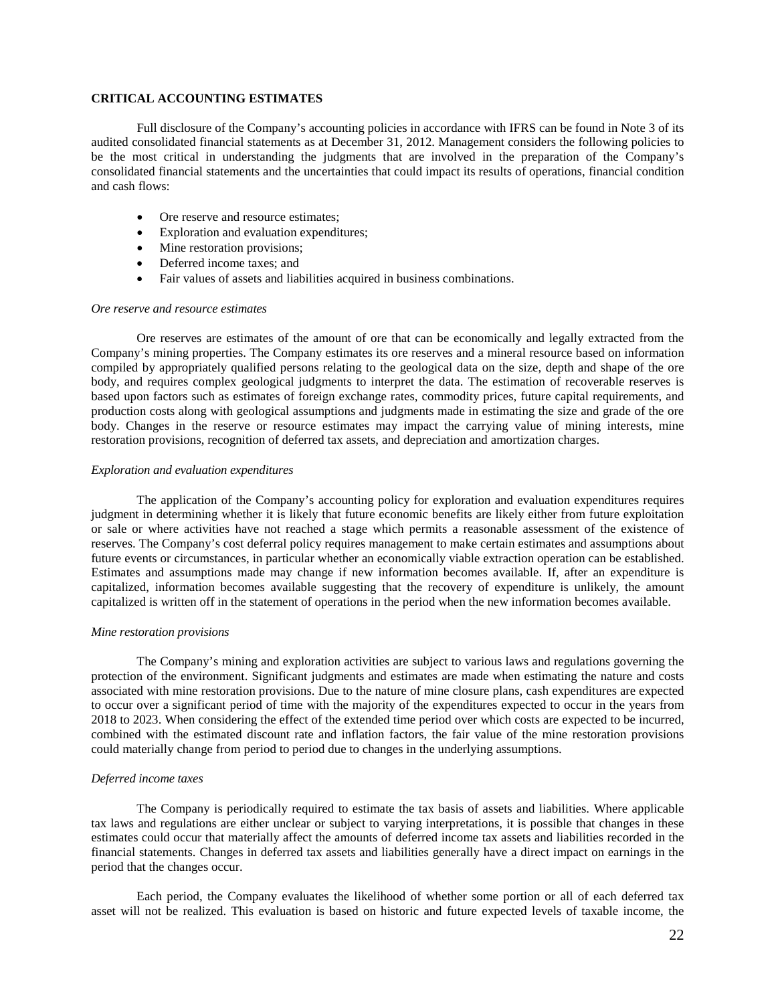## **CRITICAL ACCOUNTING ESTIMATES**

Full disclosure of the Company's accounting policies in accordance with IFRS can be found in Note 3 of its audited consolidated financial statements as at December 31, 2012. Management considers the following policies to be the most critical in understanding the judgments that are involved in the preparation of the Company's consolidated financial statements and the uncertainties that could impact its results of operations, financial condition and cash flows:

- Ore reserve and resource estimates;
- Exploration and evaluation expenditures;
- Mine restoration provisions;
- Deferred income taxes; and
- Fair values of assets and liabilities acquired in business combinations.

## *Ore reserve and resource estimates*

Ore reserves are estimates of the amount of ore that can be economically and legally extracted from the Company's mining properties. The Company estimates its ore reserves and a mineral resource based on information compiled by appropriately qualified persons relating to the geological data on the size, depth and shape of the ore body, and requires complex geological judgments to interpret the data. The estimation of recoverable reserves is based upon factors such as estimates of foreign exchange rates, commodity prices, future capital requirements, and production costs along with geological assumptions and judgments made in estimating the size and grade of the ore body. Changes in the reserve or resource estimates may impact the carrying value of mining interests, mine restoration provisions, recognition of deferred tax assets, and depreciation and amortization charges.

#### *Exploration and evaluation expenditures*

The application of the Company's accounting policy for exploration and evaluation expenditures requires judgment in determining whether it is likely that future economic benefits are likely either from future exploitation or sale or where activities have not reached a stage which permits a reasonable assessment of the existence of reserves. The Company's cost deferral policy requires management to make certain estimates and assumptions about future events or circumstances, in particular whether an economically viable extraction operation can be established. Estimates and assumptions made may change if new information becomes available. If, after an expenditure is capitalized, information becomes available suggesting that the recovery of expenditure is unlikely, the amount capitalized is written off in the statement of operations in the period when the new information becomes available.

#### *Mine restoration provisions*

The Company's mining and exploration activities are subject to various laws and regulations governing the protection of the environment. Significant judgments and estimates are made when estimating the nature and costs associated with mine restoration provisions. Due to the nature of mine closure plans, cash expenditures are expected to occur over a significant period of time with the majority of the expenditures expected to occur in the years from 2018 to 2023. When considering the effect of the extended time period over which costs are expected to be incurred, combined with the estimated discount rate and inflation factors, the fair value of the mine restoration provisions could materially change from period to period due to changes in the underlying assumptions.

## *Deferred income taxes*

The Company is periodically required to estimate the tax basis of assets and liabilities. Where applicable tax laws and regulations are either unclear or subject to varying interpretations, it is possible that changes in these estimates could occur that materially affect the amounts of deferred income tax assets and liabilities recorded in the financial statements. Changes in deferred tax assets and liabilities generally have a direct impact on earnings in the period that the changes occur.

Each period, the Company evaluates the likelihood of whether some portion or all of each deferred tax asset will not be realized. This evaluation is based on historic and future expected levels of taxable income, the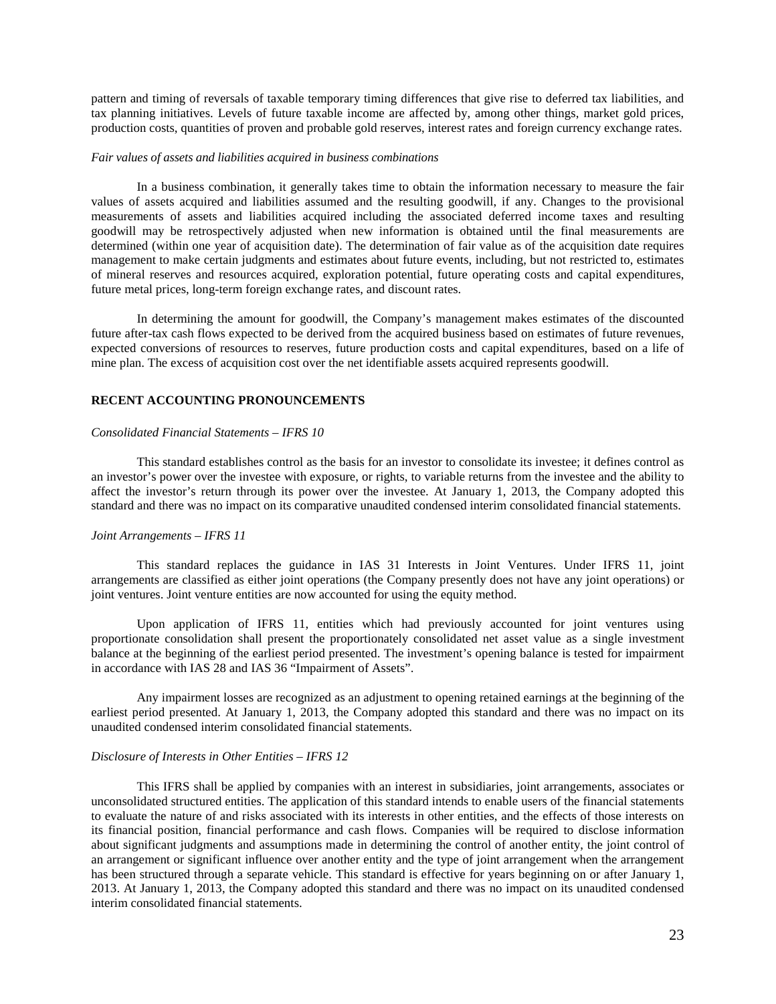pattern and timing of reversals of taxable temporary timing differences that give rise to deferred tax liabilities, and tax planning initiatives. Levels of future taxable income are affected by, among other things, market gold prices, production costs, quantities of proven and probable gold reserves, interest rates and foreign currency exchange rates.

#### *Fair values of assets and liabilities acquired in business combinations*

In a business combination, it generally takes time to obtain the information necessary to measure the fair values of assets acquired and liabilities assumed and the resulting goodwill, if any. Changes to the provisional measurements of assets and liabilities acquired including the associated deferred income taxes and resulting goodwill may be retrospectively adjusted when new information is obtained until the final measurements are determined (within one year of acquisition date). The determination of fair value as of the acquisition date requires management to make certain judgments and estimates about future events, including, but not restricted to, estimates of mineral reserves and resources acquired, exploration potential, future operating costs and capital expenditures, future metal prices, long-term foreign exchange rates, and discount rates.

In determining the amount for goodwill, the Company's management makes estimates of the discounted future after-tax cash flows expected to be derived from the acquired business based on estimates of future revenues, expected conversions of resources to reserves, future production costs and capital expenditures, based on a life of mine plan. The excess of acquisition cost over the net identifiable assets acquired represents goodwill.

## **RECENT ACCOUNTING PRONOUNCEMENTS**

## *Consolidated Financial Statements – IFRS 10*

This standard establishes control as the basis for an investor to consolidate its investee; it defines control as an investor's power over the investee with exposure, or rights, to variable returns from the investee and the ability to affect the investor's return through its power over the investee. At January 1, 2013, the Company adopted this standard and there was no impact on its comparative unaudited condensed interim consolidated financial statements.

## *Joint Arrangements – IFRS 11*

This standard replaces the guidance in IAS 31 Interests in Joint Ventures. Under IFRS 11, joint arrangements are classified as either joint operations (the Company presently does not have any joint operations) or joint ventures. Joint venture entities are now accounted for using the equity method.

Upon application of IFRS 11, entities which had previously accounted for joint ventures using proportionate consolidation shall present the proportionately consolidated net asset value as a single investment balance at the beginning of the earliest period presented. The investment's opening balance is tested for impairment in accordance with IAS 28 and IAS 36 "Impairment of Assets".

Any impairment losses are recognized as an adjustment to opening retained earnings at the beginning of the earliest period presented. At January 1, 2013, the Company adopted this standard and there was no impact on its unaudited condensed interim consolidated financial statements.

### *Disclosure of Interests in Other Entities – IFRS 12*

This IFRS shall be applied by companies with an interest in subsidiaries, joint arrangements, associates or unconsolidated structured entities. The application of this standard intends to enable users of the financial statements to evaluate the nature of and risks associated with its interests in other entities, and the effects of those interests on its financial position, financial performance and cash flows. Companies will be required to disclose information about significant judgments and assumptions made in determining the control of another entity, the joint control of an arrangement or significant influence over another entity and the type of joint arrangement when the arrangement has been structured through a separate vehicle. This standard is effective for years beginning on or after January 1, 2013. At January 1, 2013, the Company adopted this standard and there was no impact on its unaudited condensed interim consolidated financial statements.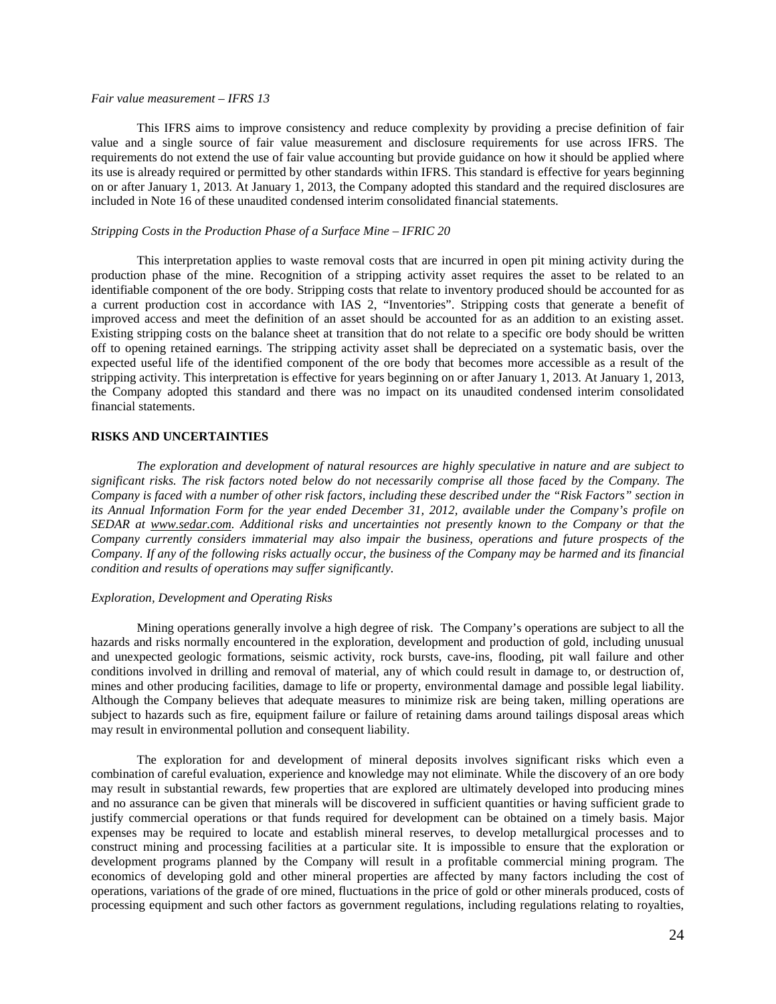### *Fair value measurement – IFRS 13*

This IFRS aims to improve consistency and reduce complexity by providing a precise definition of fair value and a single source of fair value measurement and disclosure requirements for use across IFRS. The requirements do not extend the use of fair value accounting but provide guidance on how it should be applied where its use is already required or permitted by other standards within IFRS. This standard is effective for years beginning on or after January 1, 2013. At January 1, 2013, the Company adopted this standard and the required disclosures are included in Note 16 of these unaudited condensed interim consolidated financial statements.

## *Stripping Costs in the Production Phase of a Surface Mine – IFRIC 20*

This interpretation applies to waste removal costs that are incurred in open pit mining activity during the production phase of the mine. Recognition of a stripping activity asset requires the asset to be related to an identifiable component of the ore body. Stripping costs that relate to inventory produced should be accounted for as a current production cost in accordance with IAS 2, "Inventories". Stripping costs that generate a benefit of improved access and meet the definition of an asset should be accounted for as an addition to an existing asset. Existing stripping costs on the balance sheet at transition that do not relate to a specific ore body should be written off to opening retained earnings. The stripping activity asset shall be depreciated on a systematic basis, over the expected useful life of the identified component of the ore body that becomes more accessible as a result of the stripping activity. This interpretation is effective for years beginning on or after January 1, 2013. At January 1, 2013, the Company adopted this standard and there was no impact on its unaudited condensed interim consolidated financial statements.

#### **RISKS AND UNCERTAINTIES**

*The exploration and development of natural resources are highly speculative in nature and are subject to significant risks. The risk factors noted below do not necessarily comprise all those faced by the Company. The Company is faced with a number of other risk factors, including these described under the "Risk Factors" section in its Annual Information Form for the year ended December 31, 2012, available under the Company's profile on SEDAR at [www.sedar.com.](http://www.sedar.com/) Additional risks and uncertainties not presently known to the Company or that the Company currently considers immaterial may also impair the business, operations and future prospects of the Company. If any of the following risks actually occur, the business of the Company may be harmed and its financial condition and results of operations may suffer significantly.* 

#### *Exploration, Development and Operating Risks*

Mining operations generally involve a high degree of risk. The Company's operations are subject to all the hazards and risks normally encountered in the exploration, development and production of gold, including unusual and unexpected geologic formations, seismic activity, rock bursts, cave-ins, flooding, pit wall failure and other conditions involved in drilling and removal of material, any of which could result in damage to, or destruction of, mines and other producing facilities, damage to life or property, environmental damage and possible legal liability. Although the Company believes that adequate measures to minimize risk are being taken, milling operations are subject to hazards such as fire, equipment failure or failure of retaining dams around tailings disposal areas which may result in environmental pollution and consequent liability.

The exploration for and development of mineral deposits involves significant risks which even a combination of careful evaluation, experience and knowledge may not eliminate. While the discovery of an ore body may result in substantial rewards, few properties that are explored are ultimately developed into producing mines and no assurance can be given that minerals will be discovered in sufficient quantities or having sufficient grade to justify commercial operations or that funds required for development can be obtained on a timely basis. Major expenses may be required to locate and establish mineral reserves, to develop metallurgical processes and to construct mining and processing facilities at a particular site. It is impossible to ensure that the exploration or development programs planned by the Company will result in a profitable commercial mining program. The economics of developing gold and other mineral properties are affected by many factors including the cost of operations, variations of the grade of ore mined, fluctuations in the price of gold or other minerals produced, costs of processing equipment and such other factors as government regulations, including regulations relating to royalties,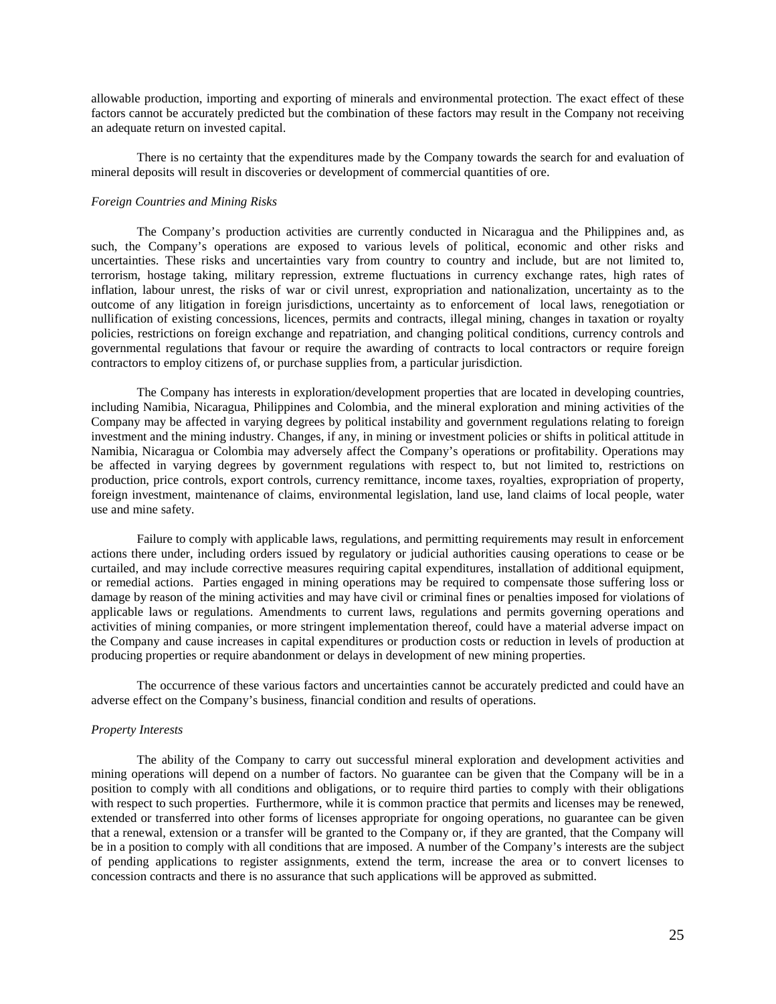allowable production, importing and exporting of minerals and environmental protection. The exact effect of these factors cannot be accurately predicted but the combination of these factors may result in the Company not receiving an adequate return on invested capital.

There is no certainty that the expenditures made by the Company towards the search for and evaluation of mineral deposits will result in discoveries or development of commercial quantities of ore.

## *Foreign Countries and Mining Risks*

The Company's production activities are currently conducted in Nicaragua and the Philippines and, as such, the Company's operations are exposed to various levels of political, economic and other risks and uncertainties. These risks and uncertainties vary from country to country and include, but are not limited to, terrorism, hostage taking, military repression, extreme fluctuations in currency exchange rates, high rates of inflation, labour unrest, the risks of war or civil unrest, expropriation and nationalization, uncertainty as to the outcome of any litigation in foreign jurisdictions, uncertainty as to enforcement of local laws, renegotiation or nullification of existing concessions, licences, permits and contracts, illegal mining, changes in taxation or royalty policies, restrictions on foreign exchange and repatriation, and changing political conditions, currency controls and governmental regulations that favour or require the awarding of contracts to local contractors or require foreign contractors to employ citizens of, or purchase supplies from, a particular jurisdiction.

The Company has interests in exploration/development properties that are located in developing countries, including Namibia, Nicaragua, Philippines and Colombia, and the mineral exploration and mining activities of the Company may be affected in varying degrees by political instability and government regulations relating to foreign investment and the mining industry. Changes, if any, in mining or investment policies or shifts in political attitude in Namibia, Nicaragua or Colombia may adversely affect the Company's operations or profitability. Operations may be affected in varying degrees by government regulations with respect to, but not limited to, restrictions on production, price controls, export controls, currency remittance, income taxes, royalties, expropriation of property, foreign investment, maintenance of claims, environmental legislation, land use, land claims of local people, water use and mine safety.

Failure to comply with applicable laws, regulations, and permitting requirements may result in enforcement actions there under, including orders issued by regulatory or judicial authorities causing operations to cease or be curtailed, and may include corrective measures requiring capital expenditures, installation of additional equipment, or remedial actions. Parties engaged in mining operations may be required to compensate those suffering loss or damage by reason of the mining activities and may have civil or criminal fines or penalties imposed for violations of applicable laws or regulations. Amendments to current laws, regulations and permits governing operations and activities of mining companies, or more stringent implementation thereof, could have a material adverse impact on the Company and cause increases in capital expenditures or production costs or reduction in levels of production at producing properties or require abandonment or delays in development of new mining properties.

The occurrence of these various factors and uncertainties cannot be accurately predicted and could have an adverse effect on the Company's business, financial condition and results of operations.

## *Property Interests*

The ability of the Company to carry out successful mineral exploration and development activities and mining operations will depend on a number of factors. No guarantee can be given that the Company will be in a position to comply with all conditions and obligations, or to require third parties to comply with their obligations with respect to such properties. Furthermore, while it is common practice that permits and licenses may be renewed, extended or transferred into other forms of licenses appropriate for ongoing operations, no guarantee can be given that a renewal, extension or a transfer will be granted to the Company or, if they are granted, that the Company will be in a position to comply with all conditions that are imposed. A number of the Company's interests are the subject of pending applications to register assignments, extend the term, increase the area or to convert licenses to concession contracts and there is no assurance that such applications will be approved as submitted.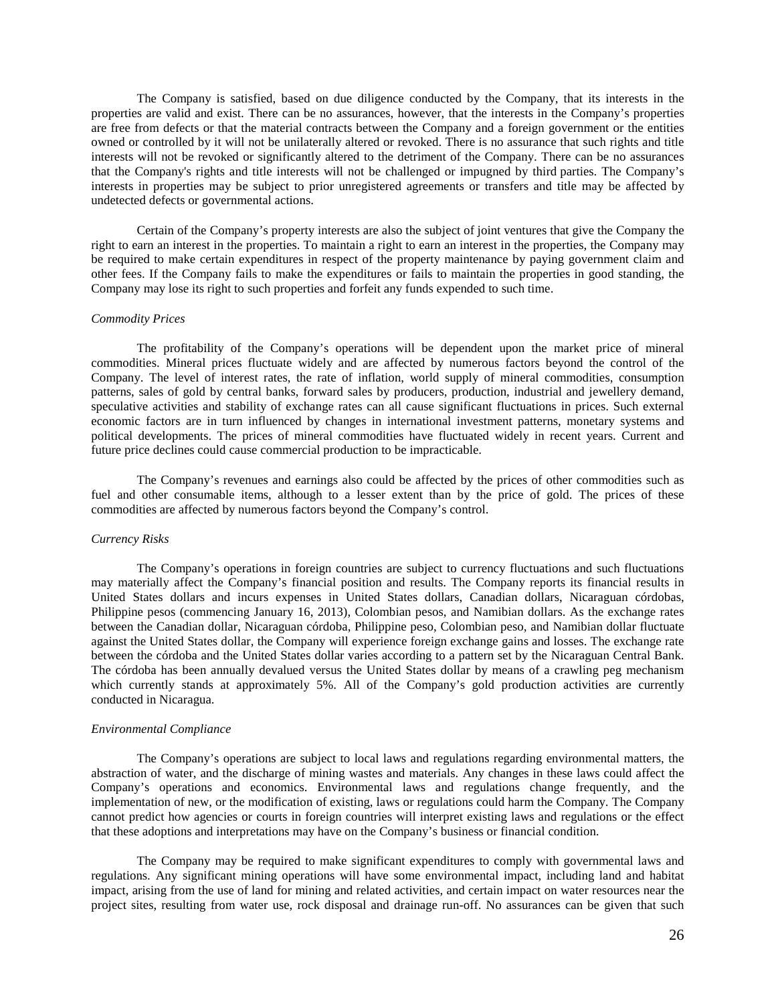The Company is satisfied, based on due diligence conducted by the Company, that its interests in the properties are valid and exist. There can be no assurances, however, that the interests in the Company's properties are free from defects or that the material contracts between the Company and a foreign government or the entities owned or controlled by it will not be unilaterally altered or revoked. There is no assurance that such rights and title interests will not be revoked or significantly altered to the detriment of the Company. There can be no assurances that the Company's rights and title interests will not be challenged or impugned by third parties. The Company's interests in properties may be subject to prior unregistered agreements or transfers and title may be affected by undetected defects or governmental actions.

Certain of the Company's property interests are also the subject of joint ventures that give the Company the right to earn an interest in the properties. To maintain a right to earn an interest in the properties, the Company may be required to make certain expenditures in respect of the property maintenance by paying government claim and other fees. If the Company fails to make the expenditures or fails to maintain the properties in good standing, the Company may lose its right to such properties and forfeit any funds expended to such time.

### *Commodity Prices*

The profitability of the Company's operations will be dependent upon the market price of mineral commodities. Mineral prices fluctuate widely and are affected by numerous factors beyond the control of the Company. The level of interest rates, the rate of inflation, world supply of mineral commodities, consumption patterns, sales of gold by central banks, forward sales by producers, production, industrial and jewellery demand, speculative activities and stability of exchange rates can all cause significant fluctuations in prices. Such external economic factors are in turn influenced by changes in international investment patterns, monetary systems and political developments. The prices of mineral commodities have fluctuated widely in recent years. Current and future price declines could cause commercial production to be impracticable.

The Company's revenues and earnings also could be affected by the prices of other commodities such as fuel and other consumable items, although to a lesser extent than by the price of gold. The prices of these commodities are affected by numerous factors beyond the Company's control.

#### *Currency Risks*

The Company's operations in foreign countries are subject to currency fluctuations and such fluctuations may materially affect the Company's financial position and results. The Company reports its financial results in United States dollars and incurs expenses in United States dollars, Canadian dollars, Nicaraguan córdobas, Philippine pesos (commencing January 16, 2013), Colombian pesos, and Namibian dollars. As the exchange rates between the Canadian dollar, Nicaraguan córdoba, Philippine peso, Colombian peso, and Namibian dollar fluctuate against the United States dollar, the Company will experience foreign exchange gains and losses. The exchange rate between the córdoba and the United States dollar varies according to a pattern set by the Nicaraguan Central Bank. The córdoba has been annually devalued versus the United States dollar by means of a crawling peg mechanism which currently stands at approximately 5%. All of the Company's gold production activities are currently conducted in Nicaragua.

## *Environmental Compliance*

The Company's operations are subject to local laws and regulations regarding environmental matters, the abstraction of water, and the discharge of mining wastes and materials. Any changes in these laws could affect the Company's operations and economics. Environmental laws and regulations change frequently, and the implementation of new, or the modification of existing, laws or regulations could harm the Company. The Company cannot predict how agencies or courts in foreign countries will interpret existing laws and regulations or the effect that these adoptions and interpretations may have on the Company's business or financial condition.

The Company may be required to make significant expenditures to comply with governmental laws and regulations. Any significant mining operations will have some environmental impact, including land and habitat impact, arising from the use of land for mining and related activities, and certain impact on water resources near the project sites, resulting from water use, rock disposal and drainage run-off. No assurances can be given that such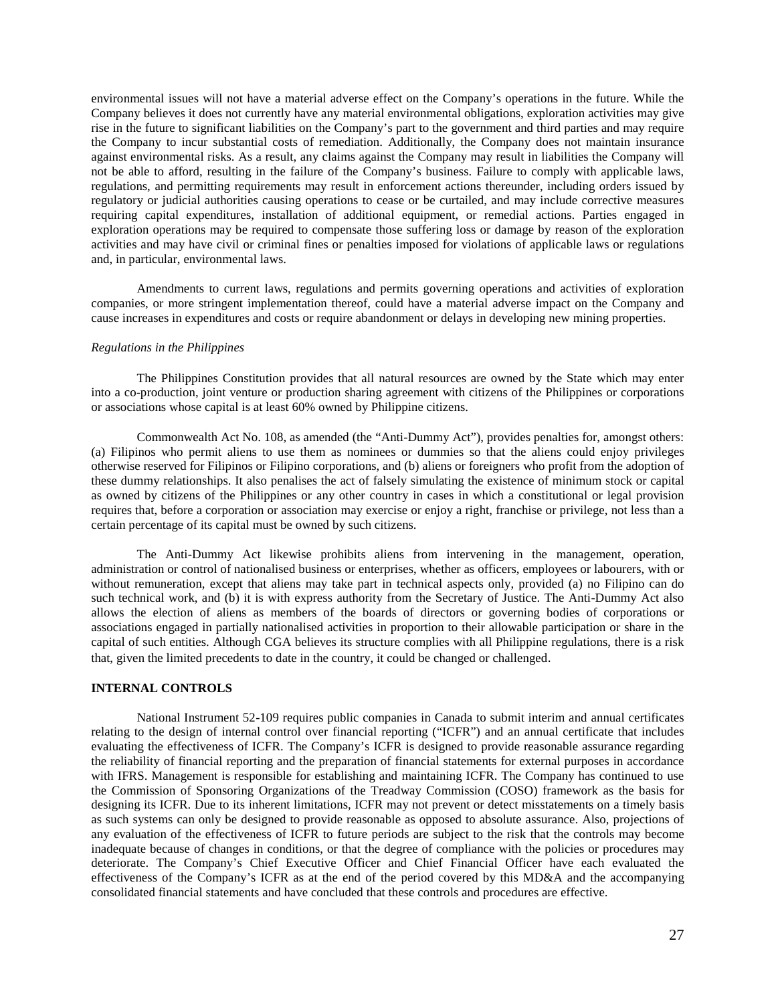environmental issues will not have a material adverse effect on the Company's operations in the future. While the Company believes it does not currently have any material environmental obligations, exploration activities may give rise in the future to significant liabilities on the Company's part to the government and third parties and may require the Company to incur substantial costs of remediation. Additionally, the Company does not maintain insurance against environmental risks. As a result, any claims against the Company may result in liabilities the Company will not be able to afford, resulting in the failure of the Company's business. Failure to comply with applicable laws, regulations, and permitting requirements may result in enforcement actions thereunder, including orders issued by regulatory or judicial authorities causing operations to cease or be curtailed, and may include corrective measures requiring capital expenditures, installation of additional equipment, or remedial actions. Parties engaged in exploration operations may be required to compensate those suffering loss or damage by reason of the exploration activities and may have civil or criminal fines or penalties imposed for violations of applicable laws or regulations and, in particular, environmental laws.

Amendments to current laws, regulations and permits governing operations and activities of exploration companies, or more stringent implementation thereof, could have a material adverse impact on the Company and cause increases in expenditures and costs or require abandonment or delays in developing new mining properties.

### *Regulations in the Philippines*

The Philippines Constitution provides that all natural resources are owned by the State which may enter into a co-production, joint venture or production sharing agreement with citizens of the Philippines or corporations or associations whose capital is at least 60% owned by Philippine citizens.

Commonwealth Act No. 108, as amended (the "Anti-Dummy Act"), provides penalties for, amongst others: (a) Filipinos who permit aliens to use them as nominees or dummies so that the aliens could enjoy privileges otherwise reserved for Filipinos or Filipino corporations, and (b) aliens or foreigners who profit from the adoption of these dummy relationships. It also penalises the act of falsely simulating the existence of minimum stock or capital as owned by citizens of the Philippines or any other country in cases in which a constitutional or legal provision requires that, before a corporation or association may exercise or enjoy a right, franchise or privilege, not less than a certain percentage of its capital must be owned by such citizens.

The Anti-Dummy Act likewise prohibits aliens from intervening in the management, operation, administration or control of nationalised business or enterprises, whether as officers, employees or labourers, with or without remuneration, except that aliens may take part in technical aspects only, provided (a) no Filipino can do such technical work, and (b) it is with express authority from the Secretary of Justice. The Anti-Dummy Act also allows the election of aliens as members of the boards of directors or governing bodies of corporations or associations engaged in partially nationalised activities in proportion to their allowable participation or share in the capital of such entities. Although CGA believes its structure complies with all Philippine regulations, there is a risk that, given the limited precedents to date in the country, it could be changed or challenged.

## **INTERNAL CONTROLS**

National Instrument 52-109 requires public companies in Canada to submit interim and annual certificates relating to the design of internal control over financial reporting ("ICFR") and an annual certificate that includes evaluating the effectiveness of ICFR. The Company's ICFR is designed to provide reasonable assurance regarding the reliability of financial reporting and the preparation of financial statements for external purposes in accordance with IFRS. Management is responsible for establishing and maintaining ICFR. The Company has continued to use the Commission of Sponsoring Organizations of the Treadway Commission (COSO) framework as the basis for designing its ICFR. Due to its inherent limitations, ICFR may not prevent or detect misstatements on a timely basis as such systems can only be designed to provide reasonable as opposed to absolute assurance. Also, projections of any evaluation of the effectiveness of ICFR to future periods are subject to the risk that the controls may become inadequate because of changes in conditions, or that the degree of compliance with the policies or procedures may deteriorate. The Company's Chief Executive Officer and Chief Financial Officer have each evaluated the effectiveness of the Company's ICFR as at the end of the period covered by this MD&A and the accompanying consolidated financial statements and have concluded that these controls and procedures are effective.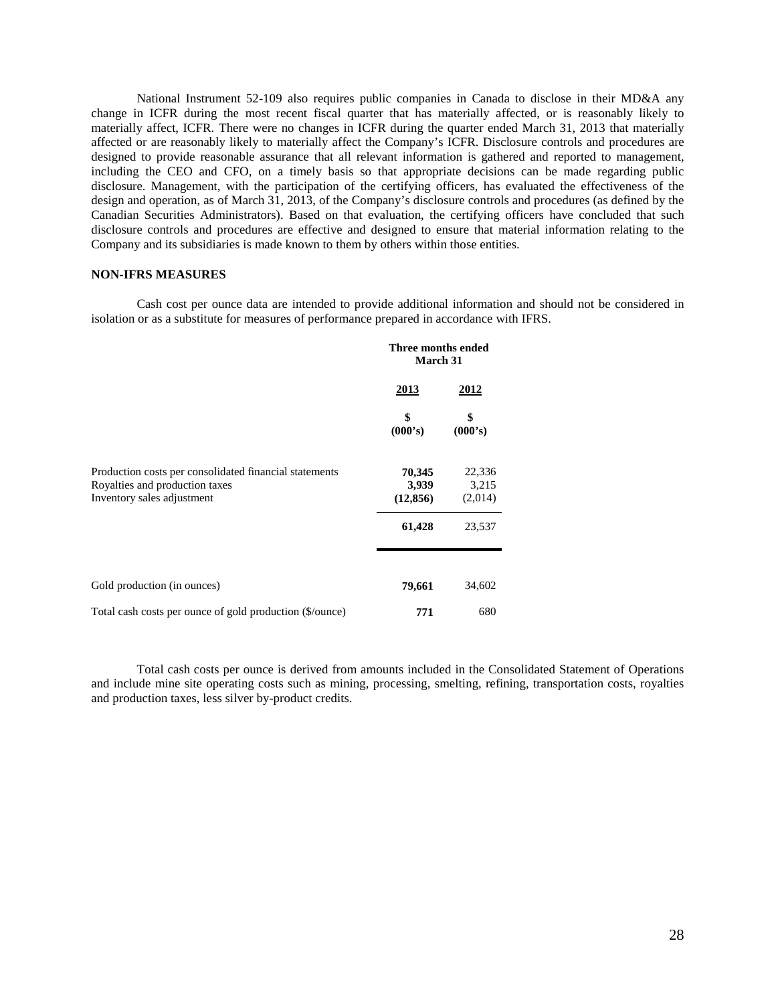National Instrument 52-109 also requires public companies in Canada to disclose in their MD&A any change in ICFR during the most recent fiscal quarter that has materially affected, or is reasonably likely to materially affect, ICFR. There were no changes in ICFR during the quarter ended March 31, 2013 that materially affected or are reasonably likely to materially affect the Company's ICFR. Disclosure controls and procedures are designed to provide reasonable assurance that all relevant information is gathered and reported to management, including the CEO and CFO, on a timely basis so that appropriate decisions can be made regarding public disclosure. Management, with the participation of the certifying officers, has evaluated the effectiveness of the design and operation, as of March 31, 2013, of the Company's disclosure controls and procedures (as defined by the Canadian Securities Administrators). Based on that evaluation, the certifying officers have concluded that such disclosure controls and procedures are effective and designed to ensure that material information relating to the Company and its subsidiaries is made known to them by others within those entities.

#### **NON-IFRS MEASURES**

Cash cost per ounce data are intended to provide additional information and should not be considered in isolation or as a substitute for measures of performance prepared in accordance with IFRS.

|                                                                                                                        | Three months ended<br><b>March 31</b> |                            |  |
|------------------------------------------------------------------------------------------------------------------------|---------------------------------------|----------------------------|--|
|                                                                                                                        | <u>2013</u>                           | <u> 2012 </u>              |  |
|                                                                                                                        | \$<br>(000's)                         | \$<br>(000's)              |  |
| Production costs per consolidated financial statements<br>Royalties and production taxes<br>Inventory sales adjustment | 70,345<br>3,939<br>(12, 856)          | 22,336<br>3,215<br>(2,014) |  |
|                                                                                                                        | 61,428                                | 23,537                     |  |
| Gold production (in ounces)                                                                                            | 79,661                                | 34,602                     |  |
| Total cash costs per ounce of gold production (\$/ounce)                                                               | 771                                   | 680                        |  |

Total cash costs per ounce is derived from amounts included in the Consolidated Statement of Operations and include mine site operating costs such as mining, processing, smelting, refining, transportation costs, royalties and production taxes, less silver by-product credits.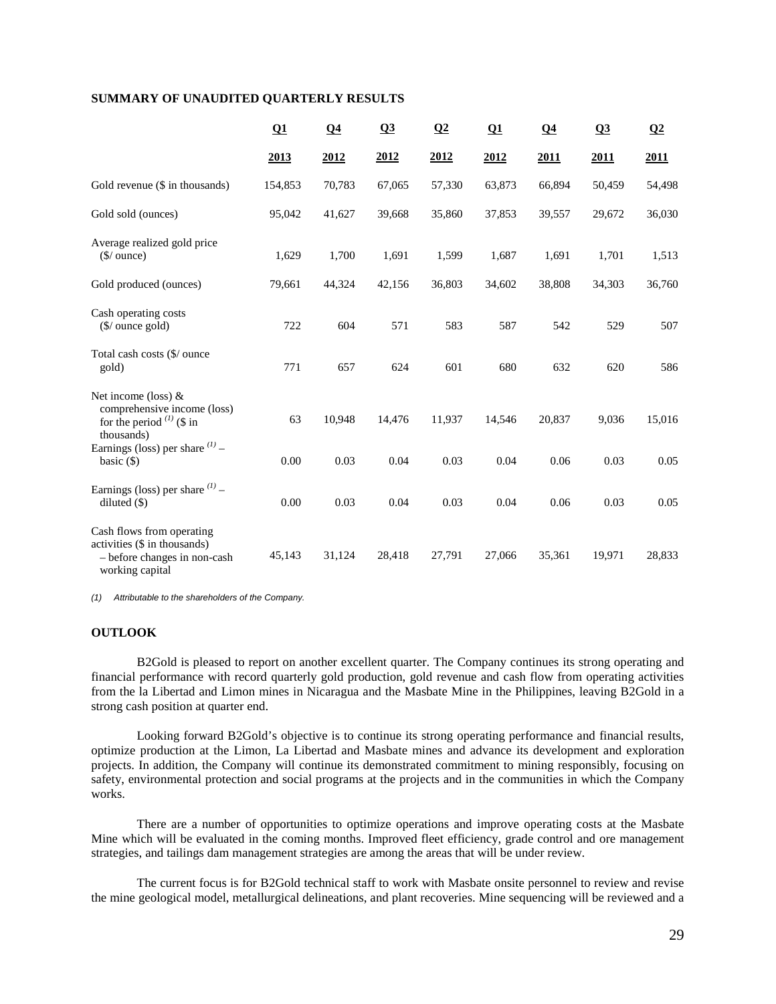## **SUMMARY OF UNAUDITED QUARTERLY RESULTS**

|                                                                                                              | Q1      | Q <sub>4</sub> | Q3     | $\Omega$ | Q1     | Q <sub>4</sub> | Q <sub>3</sub> | $\Omega$ |
|--------------------------------------------------------------------------------------------------------------|---------|----------------|--------|----------|--------|----------------|----------------|----------|
|                                                                                                              | 2013    | 2012           | 2012   | 2012     | 2012   | 2011           | 2011           | 2011     |
| Gold revenue (\$ in thousands)                                                                               | 154,853 | 70,783         | 67,065 | 57,330   | 63,873 | 66,894         | 50,459         | 54,498   |
| Gold sold (ounces)                                                                                           | 95,042  | 41,627         | 39,668 | 35,860   | 37,853 | 39,557         | 29,672         | 36,030   |
| Average realized gold price<br>$(S/$ ounce)                                                                  | 1,629   | 1,700          | 1,691  | 1,599    | 1,687  | 1,691          | 1,701          | 1,513    |
| Gold produced (ounces)                                                                                       | 79,661  | 44,324         | 42,156 | 36,803   | 34,602 | 38,808         | 34,303         | 36,760   |
| Cash operating costs<br>$(\frac{\sqrt{2}}{2})$ ounce gold)                                                   | 722     | 604            | 571    | 583      | 587    | 542            | 529            | 507      |
| Total cash costs (\$/ ounce<br>gold)                                                                         | 771     | 657            | 624    | 601      | 680    | 632            | 620            | 586      |
| Net income (loss) $&$<br>comprehensive income (loss)<br>for the period $(1)$ (\$ in<br>thousands)            | 63      | 10,948         | 14,476 | 11,937   | 14,546 | 20,837         | 9,036          | 15,016   |
| Earnings (loss) per share $(1)$ –<br>basic $(\$)$                                                            | 0.00    | 0.03           | 0.04   | 0.03     | 0.04   | 0.06           | 0.03           | 0.05     |
| Earnings (loss) per share $(1)$ –<br>diluted (\$)                                                            | 0.00    | 0.03           | 0.04   | 0.03     | 0.04   | 0.06           | 0.03           | 0.05     |
| Cash flows from operating<br>activities (\$ in thousands)<br>- before changes in non-cash<br>working capital | 45,143  | 31,124         | 28,418 | 27,791   | 27,066 | 35,361         | 19,971         | 28,833   |

*(1) Attributable to the shareholders of the Company.* 

### **OUTLOOK**

B2Gold is pleased to report on another excellent quarter. The Company continues its strong operating and financial performance with record quarterly gold production, gold revenue and cash flow from operating activities from the la Libertad and Limon mines in Nicaragua and the Masbate Mine in the Philippines, leaving B2Gold in a strong cash position at quarter end.

Looking forward B2Gold's objective is to continue its strong operating performance and financial results, optimize production at the Limon, La Libertad and Masbate mines and advance its development and exploration projects. In addition, the Company will continue its demonstrated commitment to mining responsibly, focusing on safety, environmental protection and social programs at the projects and in the communities in which the Company works.

There are a number of opportunities to optimize operations and improve operating costs at the Masbate Mine which will be evaluated in the coming months. Improved fleet efficiency, grade control and ore management strategies, and tailings dam management strategies are among the areas that will be under review.

The current focus is for B2Gold technical staff to work with Masbate onsite personnel to review and revise the mine geological model, metallurgical delineations, and plant recoveries. Mine sequencing will be reviewed and a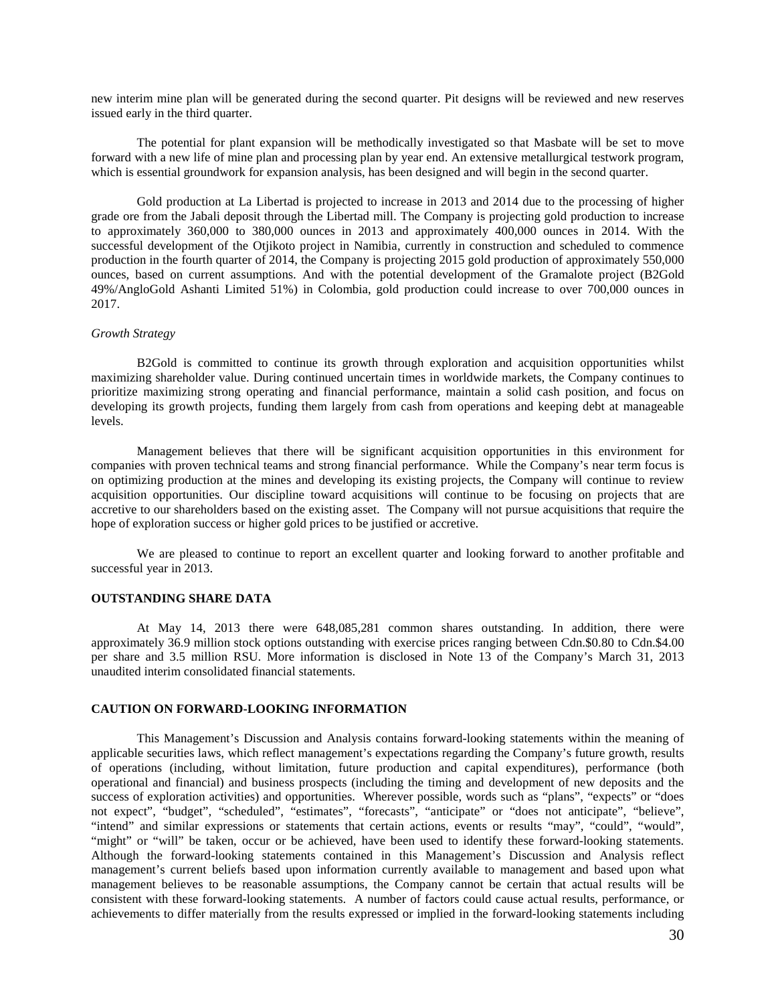new interim mine plan will be generated during the second quarter. Pit designs will be reviewed and new reserves issued early in the third quarter.

The potential for plant expansion will be methodically investigated so that Masbate will be set to move forward with a new life of mine plan and processing plan by year end. An extensive metallurgical testwork program, which is essential groundwork for expansion analysis, has been designed and will begin in the second quarter.

Gold production at La Libertad is projected to increase in 2013 and 2014 due to the processing of higher grade ore from the Jabali deposit through the Libertad mill. The Company is projecting gold production to increase to approximately 360,000 to 380,000 ounces in 2013 and approximately 400,000 ounces in 2014. With the successful development of the Otjikoto project in Namibia, currently in construction and scheduled to commence production in the fourth quarter of 2014, the Company is projecting 2015 gold production of approximately 550,000 ounces, based on current assumptions. And with the potential development of the Gramalote project (B2Gold 49%/AngloGold Ashanti Limited 51%) in Colombia, gold production could increase to over 700,000 ounces in 2017.

## *Growth Strategy*

B2Gold is committed to continue its growth through exploration and acquisition opportunities whilst maximizing shareholder value. During continued uncertain times in worldwide markets, the Company continues to prioritize maximizing strong operating and financial performance, maintain a solid cash position, and focus on developing its growth projects, funding them largely from cash from operations and keeping debt at manageable levels.

Management believes that there will be significant acquisition opportunities in this environment for companies with proven technical teams and strong financial performance. While the Company's near term focus is on optimizing production at the mines and developing its existing projects, the Company will continue to review acquisition opportunities. Our discipline toward acquisitions will continue to be focusing on projects that are accretive to our shareholders based on the existing asset. The Company will not pursue acquisitions that require the hope of exploration success or higher gold prices to be justified or accretive.

We are pleased to continue to report an excellent quarter and looking forward to another profitable and successful year in 2013.

#### **OUTSTANDING SHARE DATA**

At May 14, 2013 there were 648,085,281 common shares outstanding. In addition, there were approximately 36.9 million stock options outstanding with exercise prices ranging between Cdn.\$0.80 to Cdn.\$4.00 per share and 3.5 million RSU. More information is disclosed in Note 13 of the Company's March 31, 2013 unaudited interim consolidated financial statements.

#### **CAUTION ON FORWARD-LOOKING INFORMATION**

This Management's Discussion and Analysis contains forward-looking statements within the meaning of applicable securities laws, which reflect management's expectations regarding the Company's future growth, results of operations (including, without limitation, future production and capital expenditures), performance (both operational and financial) and business prospects (including the timing and development of new deposits and the success of exploration activities) and opportunities. Wherever possible, words such as "plans", "expects" or "does not expect", "budget", "scheduled", "estimates", "forecasts", "anticipate" or "does not anticipate", "believe", "intend" and similar expressions or statements that certain actions, events or results "may", "could", "would", "might" or "will" be taken, occur or be achieved, have been used to identify these forward-looking statements. Although the forward-looking statements contained in this Management's Discussion and Analysis reflect management's current beliefs based upon information currently available to management and based upon what management believes to be reasonable assumptions, the Company cannot be certain that actual results will be consistent with these forward-looking statements. A number of factors could cause actual results, performance, or achievements to differ materially from the results expressed or implied in the forward-looking statements including